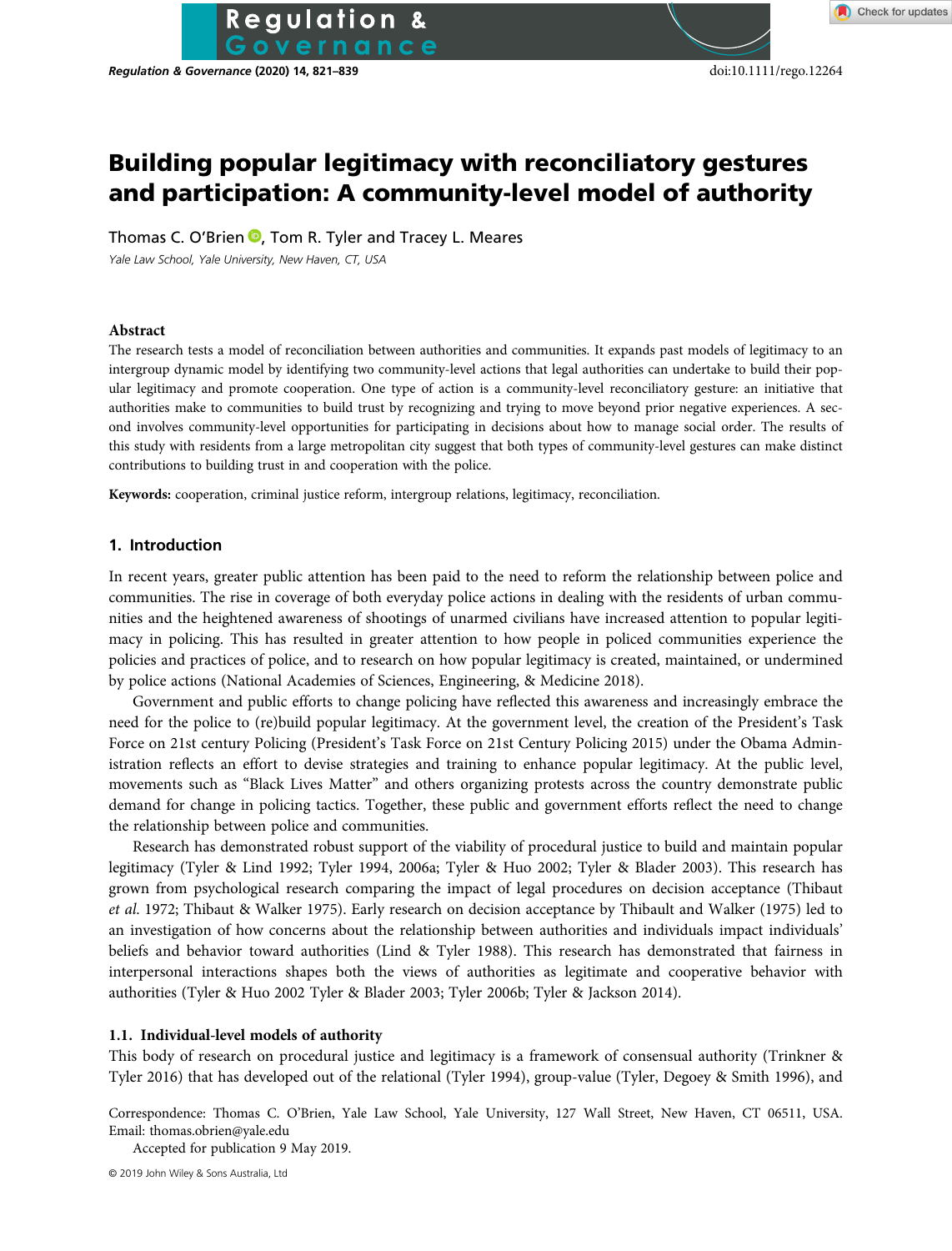**Regulation & Governance (2020) 14, 821–839** doi:10.1111/rego.12264

# Building popular legitimacy with reconciliatory gestures and participation: A community-level model of authority

Thomas C. O'Brien  $\bullet$ [,](https://orcid.org/0000-0001-7714-7359) Tom R. Tyler and Tracey L. Meares

**Regulation &** 

Yale Law School, Yale University, New Haven, CT, USA

#### Abstract

The research tests a model of reconciliation between authorities and communities. It expands past models of legitimacy to an intergroup dynamic model by identifying two community-level actions that legal authorities can undertake to build their popular legitimacy and promote cooperation. One type of action is a community-level reconciliatory gesture: an initiative that authorities make to communities to build trust by recognizing and trying to move beyond prior negative experiences. A second involves community-level opportunities for participating in decisions about how to manage social order. The results of this study with residents from a large metropolitan city suggest that both types of community-level gestures can make distinct contributions to building trust in and cooperation with the police.

Keywords: cooperation, criminal justice reform, intergroup relations, legitimacy, reconciliation.

### 1. Introduction

In recent years, greater public attention has been paid to the need to reform the relationship between police and communities. The rise in coverage of both everyday police actions in dealing with the residents of urban communities and the heightened awareness of shootings of unarmed civilians have increased attention to popular legitimacy in policing. This has resulted in greater attention to how people in policed communities experience the policies and practices of police, and to research on how popular legitimacy is created, maintained, or undermined by police actions (National Academies of Sciences, Engineering, & Medicine 2018).

Government and public efforts to change policing have reflected this awareness and increasingly embrace the need for the police to (re)build popular legitimacy. At the government level, the creation of the President's Task Force on 21st century Policing (President's Task Force on 21st Century Policing 2015) under the Obama Administration reflects an effort to devise strategies and training to enhance popular legitimacy. At the public level, movements such as "Black Lives Matter" and others organizing protests across the country demonstrate public demand for change in policing tactics. Together, these public and government efforts reflect the need to change the relationship between police and communities.

Research has demonstrated robust support of the viability of procedural justice to build and maintain popular legitimacy (Tyler & Lind 1992; Tyler 1994, 2006a; Tyler & Huo 2002; Tyler & Blader 2003). This research has grown from psychological research comparing the impact of legal procedures on decision acceptance (Thibaut et al. 1972; Thibaut & Walker 1975). Early research on decision acceptance by Thibault and Walker (1975) led to an investigation of how concerns about the relationship between authorities and individuals impact individuals' beliefs and behavior toward authorities (Lind & Tyler 1988). This research has demonstrated that fairness in interpersonal interactions shapes both the views of authorities as legitimate and cooperative behavior with authorities (Tyler & Huo 2002 Tyler & Blader 2003; Tyler 2006b; Tyler & Jackson 2014).

#### 1.1. Individual-level models of authority

This body of research on procedural justice and legitimacy is a framework of consensual authority (Trinkner & Tyler 2016) that has developed out of the relational (Tyler 1994), group-value (Tyler, Degoey & Smith 1996), and

Correspondence: Thomas C. O'Brien, Yale Law School, Yale University, 127 Wall Street, New Haven, CT 06511, USA. Email: [thomas.obrien@yale.edu](mailto:thomas.obrien@yale.edu)

Accepted for publication 9 May 2019.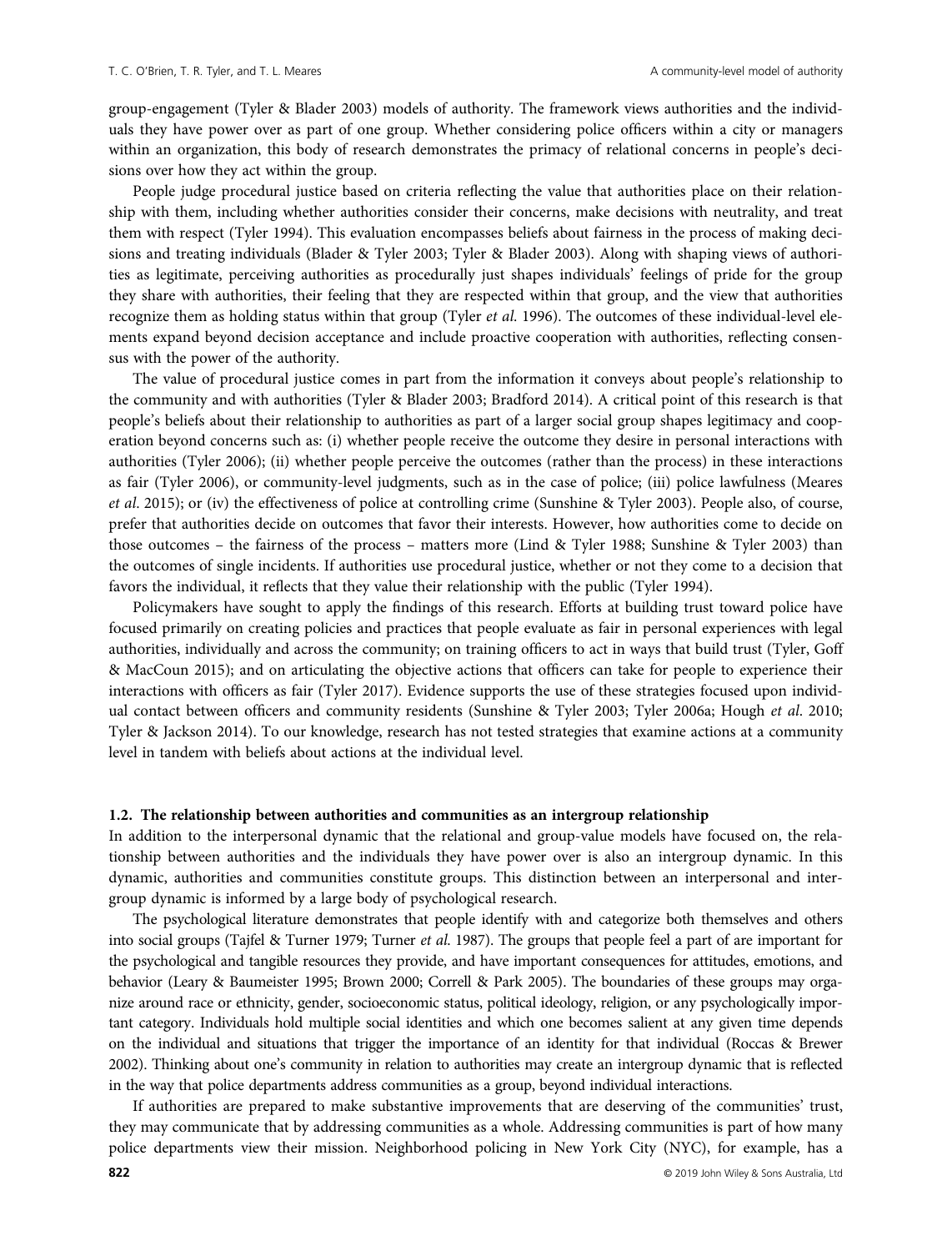group-engagement (Tyler & Blader 2003) models of authority. The framework views authorities and the individuals they have power over as part of one group. Whether considering police officers within a city or managers within an organization, this body of research demonstrates the primacy of relational concerns in people's decisions over how they act within the group.

People judge procedural justice based on criteria reflecting the value that authorities place on their relationship with them, including whether authorities consider their concerns, make decisions with neutrality, and treat them with respect (Tyler 1994). This evaluation encompasses beliefs about fairness in the process of making decisions and treating individuals (Blader & Tyler 2003; Tyler & Blader 2003). Along with shaping views of authorities as legitimate, perceiving authorities as procedurally just shapes individuals' feelings of pride for the group they share with authorities, their feeling that they are respected within that group, and the view that authorities recognize them as holding status within that group (Tyler et al. 1996). The outcomes of these individual-level elements expand beyond decision acceptance and include proactive cooperation with authorities, reflecting consensus with the power of the authority.

The value of procedural justice comes in part from the information it conveys about people's relationship to the community and with authorities (Tyler & Blader 2003; Bradford 2014). A critical point of this research is that people's beliefs about their relationship to authorities as part of a larger social group shapes legitimacy and cooperation beyond concerns such as: (i) whether people receive the outcome they desire in personal interactions with authorities (Tyler 2006); (ii) whether people perceive the outcomes (rather than the process) in these interactions as fair (Tyler 2006), or community-level judgments, such as in the case of police; (iii) police lawfulness (Meares et al. 2015); or (iv) the effectiveness of police at controlling crime (Sunshine & Tyler 2003). People also, of course, prefer that authorities decide on outcomes that favor their interests. However, how authorities come to decide on those outcomes – the fairness of the process – matters more (Lind & Tyler 1988; Sunshine & Tyler 2003) than the outcomes of single incidents. If authorities use procedural justice, whether or not they come to a decision that favors the individual, it reflects that they value their relationship with the public (Tyler 1994).

Policymakers have sought to apply the findings of this research. Efforts at building trust toward police have focused primarily on creating policies and practices that people evaluate as fair in personal experiences with legal authorities, individually and across the community; on training officers to act in ways that build trust (Tyler, Goff & MacCoun 2015); and on articulating the objective actions that officers can take for people to experience their interactions with officers as fair (Tyler 2017). Evidence supports the use of these strategies focused upon individual contact between officers and community residents (Sunshine & Tyler 2003; Tyler 2006a; Hough et al. 2010; Tyler & Jackson 2014). To our knowledge, research has not tested strategies that examine actions at a community level in tandem with beliefs about actions at the individual level.

#### 1.2. The relationship between authorities and communities as an intergroup relationship

In addition to the interpersonal dynamic that the relational and group-value models have focused on, the relationship between authorities and the individuals they have power over is also an intergroup dynamic. In this dynamic, authorities and communities constitute groups. This distinction between an interpersonal and intergroup dynamic is informed by a large body of psychological research.

The psychological literature demonstrates that people identify with and categorize both themselves and others into social groups (Tajfel & Turner 1979; Turner et al. 1987). The groups that people feel a part of are important for the psychological and tangible resources they provide, and have important consequences for attitudes, emotions, and behavior (Leary & Baumeister 1995; Brown 2000; Correll & Park 2005). The boundaries of these groups may organize around race or ethnicity, gender, socioeconomic status, political ideology, religion, or any psychologically important category. Individuals hold multiple social identities and which one becomes salient at any given time depends on the individual and situations that trigger the importance of an identity for that individual (Roccas & Brewer 2002). Thinking about one's community in relation to authorities may create an intergroup dynamic that is reflected in the way that police departments address communities as a group, beyond individual interactions.

If authorities are prepared to make substantive improvements that are deserving of the communities' trust, they may communicate that by addressing communities as a whole. Addressing communities is part of how many police departments view their mission. Neighborhood policing in New York City (NYC), for example, has a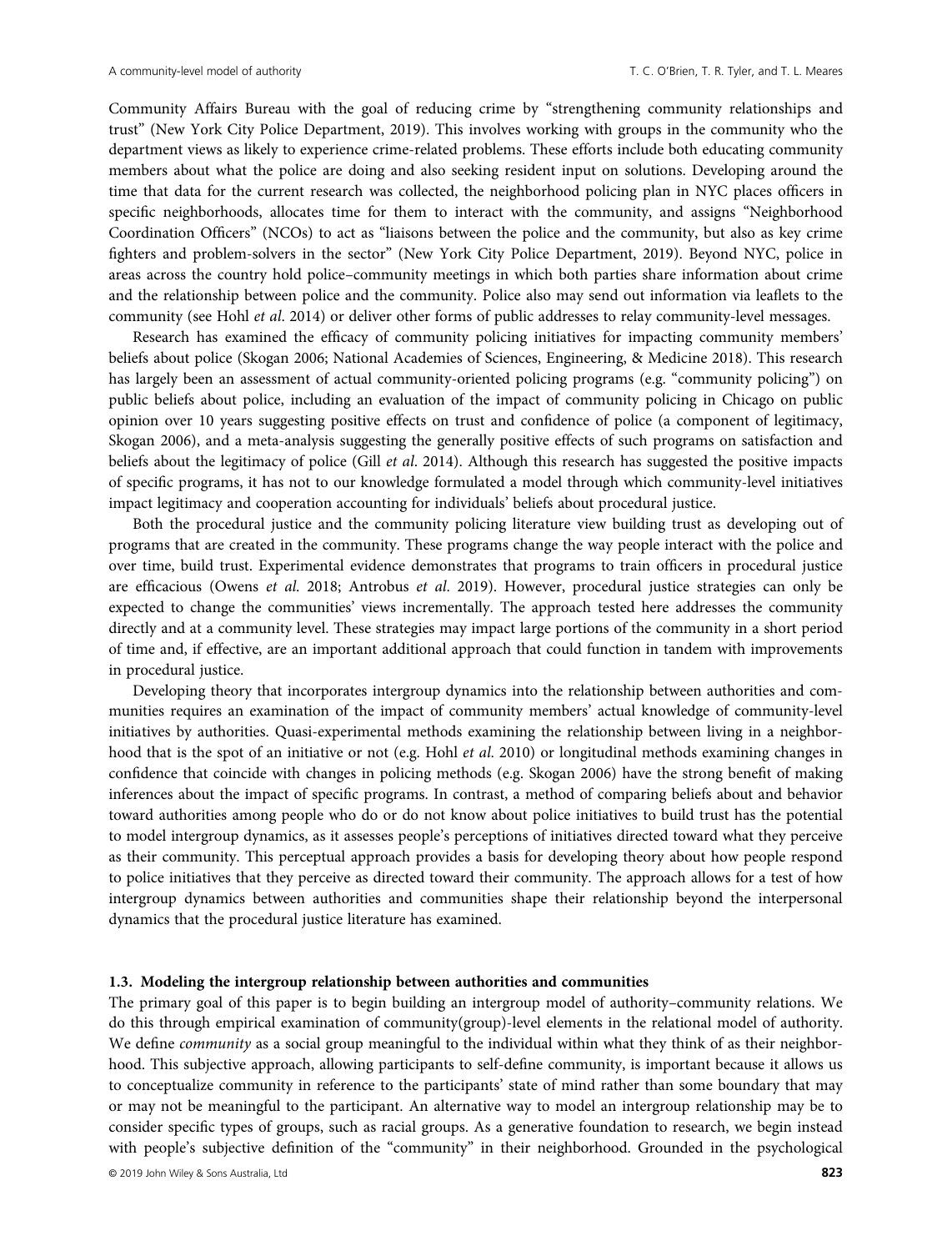Community Affairs Bureau with the goal of reducing crime by "strengthening community relationships and trust" (New York City Police Department, 2019). This involves working with groups in the community who the department views as likely to experience crime-related problems. These efforts include both educating community members about what the police are doing and also seeking resident input on solutions. Developing around the time that data for the current research was collected, the neighborhood policing plan in NYC places officers in specific neighborhoods, allocates time for them to interact with the community, and assigns "Neighborhood Coordination Officers" (NCOs) to act as "liaisons between the police and the community, but also as key crime fighters and problem-solvers in the sector" (New York City Police Department, 2019). Beyond NYC, police in areas across the country hold police–community meetings in which both parties share information about crime and the relationship between police and the community. Police also may send out information via leaflets to the community (see Hohl et al. 2014) or deliver other forms of public addresses to relay community-level messages.

Research has examined the efficacy of community policing initiatives for impacting community members' beliefs about police (Skogan 2006; National Academies of Sciences, Engineering, & Medicine 2018). This research has largely been an assessment of actual community-oriented policing programs (e.g. "community policing") on public beliefs about police, including an evaluation of the impact of community policing in Chicago on public opinion over 10 years suggesting positive effects on trust and confidence of police (a component of legitimacy, Skogan 2006), and a meta-analysis suggesting the generally positive effects of such programs on satisfaction and beliefs about the legitimacy of police (Gill *et al.* 2014). Although this research has suggested the positive impacts of specific programs, it has not to our knowledge formulated a model through which community-level initiatives impact legitimacy and cooperation accounting for individuals' beliefs about procedural justice.

Both the procedural justice and the community policing literature view building trust as developing out of programs that are created in the community. These programs change the way people interact with the police and over time, build trust. Experimental evidence demonstrates that programs to train officers in procedural justice are efficacious (Owens et al. 2018; Antrobus et al. 2019). However, procedural justice strategies can only be expected to change the communities' views incrementally. The approach tested here addresses the community directly and at a community level. These strategies may impact large portions of the community in a short period of time and, if effective, are an important additional approach that could function in tandem with improvements in procedural justice.

Developing theory that incorporates intergroup dynamics into the relationship between authorities and communities requires an examination of the impact of community members' actual knowledge of community-level initiatives by authorities. Quasi-experimental methods examining the relationship between living in a neighborhood that is the spot of an initiative or not (e.g. Hohl et al. 2010) or longitudinal methods examining changes in confidence that coincide with changes in policing methods (e.g. Skogan 2006) have the strong benefit of making inferences about the impact of specific programs. In contrast, a method of comparing beliefs about and behavior toward authorities among people who do or do not know about police initiatives to build trust has the potential to model intergroup dynamics, as it assesses people's perceptions of initiatives directed toward what they perceive as their community. This perceptual approach provides a basis for developing theory about how people respond to police initiatives that they perceive as directed toward their community. The approach allows for a test of how intergroup dynamics between authorities and communities shape their relationship beyond the interpersonal dynamics that the procedural justice literature has examined.

## 1.3. Modeling the intergroup relationship between authorities and communities

The primary goal of this paper is to begin building an intergroup model of authority–community relations. We do this through empirical examination of community(group)-level elements in the relational model of authority. We define *community* as a social group meaningful to the individual within what they think of as their neighborhood. This subjective approach, allowing participants to self-define community, is important because it allows us to conceptualize community in reference to the participants' state of mind rather than some boundary that may or may not be meaningful to the participant. An alternative way to model an intergroup relationship may be to consider specific types of groups, such as racial groups. As a generative foundation to research, we begin instead with people's subjective definition of the "community" in their neighborhood. Grounded in the psychological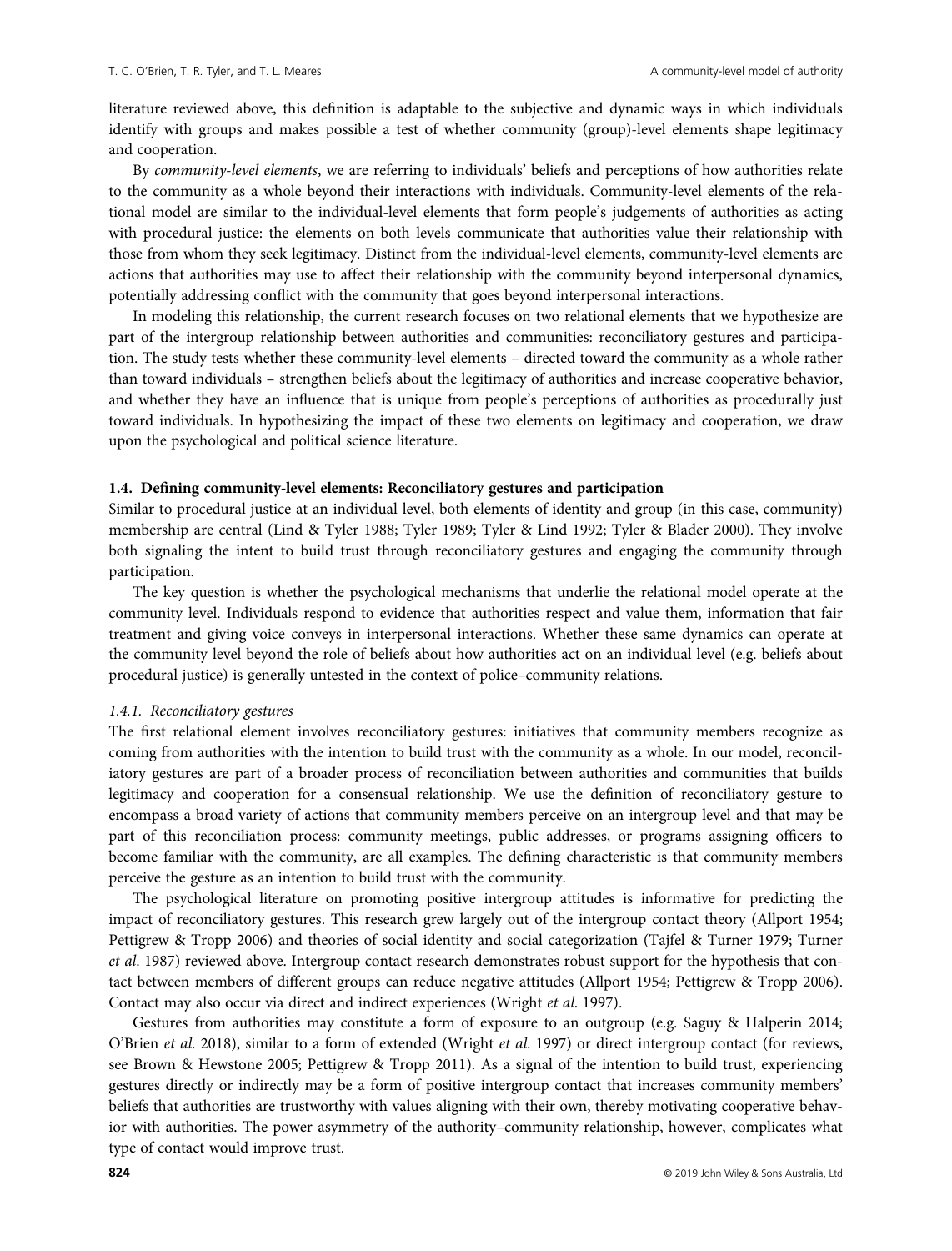literature reviewed above, this definition is adaptable to the subjective and dynamic ways in which individuals identify with groups and makes possible a test of whether community (group)-level elements shape legitimacy and cooperation.

By community-level elements, we are referring to individuals' beliefs and perceptions of how authorities relate to the community as a whole beyond their interactions with individuals. Community-level elements of the relational model are similar to the individual-level elements that form people's judgements of authorities as acting with procedural justice: the elements on both levels communicate that authorities value their relationship with those from whom they seek legitimacy. Distinct from the individual-level elements, community-level elements are actions that authorities may use to affect their relationship with the community beyond interpersonal dynamics, potentially addressing conflict with the community that goes beyond interpersonal interactions.

In modeling this relationship, the current research focuses on two relational elements that we hypothesize are part of the intergroup relationship between authorities and communities: reconciliatory gestures and participation. The study tests whether these community-level elements – directed toward the community as a whole rather than toward individuals – strengthen beliefs about the legitimacy of authorities and increase cooperative behavior, and whether they have an influence that is unique from people's perceptions of authorities as procedurally just toward individuals. In hypothesizing the impact of these two elements on legitimacy and cooperation, we draw upon the psychological and political science literature.

# 1.4. Defining community-level elements: Reconciliatory gestures and participation

Similar to procedural justice at an individual level, both elements of identity and group (in this case, community) membership are central (Lind & Tyler 1988; Tyler 1989; Tyler & Lind 1992; Tyler & Blader 2000). They involve both signaling the intent to build trust through reconciliatory gestures and engaging the community through participation.

The key question is whether the psychological mechanisms that underlie the relational model operate at the community level. Individuals respond to evidence that authorities respect and value them, information that fair treatment and giving voice conveys in interpersonal interactions. Whether these same dynamics can operate at the community level beyond the role of beliefs about how authorities act on an individual level (e.g. beliefs about procedural justice) is generally untested in the context of police–community relations.

#### 1.4.1. Reconciliatory gestures

The first relational element involves reconciliatory gestures: initiatives that community members recognize as coming from authorities with the intention to build trust with the community as a whole. In our model, reconciliatory gestures are part of a broader process of reconciliation between authorities and communities that builds legitimacy and cooperation for a consensual relationship. We use the definition of reconciliatory gesture to encompass a broad variety of actions that community members perceive on an intergroup level and that may be part of this reconciliation process: community meetings, public addresses, or programs assigning officers to become familiar with the community, are all examples. The defining characteristic is that community members perceive the gesture as an intention to build trust with the community.

The psychological literature on promoting positive intergroup attitudes is informative for predicting the impact of reconciliatory gestures. This research grew largely out of the intergroup contact theory (Allport 1954; Pettigrew & Tropp 2006) and theories of social identity and social categorization (Tajfel & Turner 1979; Turner et al. 1987) reviewed above. Intergroup contact research demonstrates robust support for the hypothesis that contact between members of different groups can reduce negative attitudes (Allport 1954; Pettigrew & Tropp 2006). Contact may also occur via direct and indirect experiences (Wright et al. 1997).

Gestures from authorities may constitute a form of exposure to an outgroup (e.g. Saguy & Halperin 2014; O'Brien et al. 2018), similar to a form of extended (Wright et al. 1997) or direct intergroup contact (for reviews, see Brown & Hewstone 2005; Pettigrew & Tropp 2011). As a signal of the intention to build trust, experiencing gestures directly or indirectly may be a form of positive intergroup contact that increases community members' beliefs that authorities are trustworthy with values aligning with their own, thereby motivating cooperative behavior with authorities. The power asymmetry of the authority–community relationship, however, complicates what type of contact would improve trust.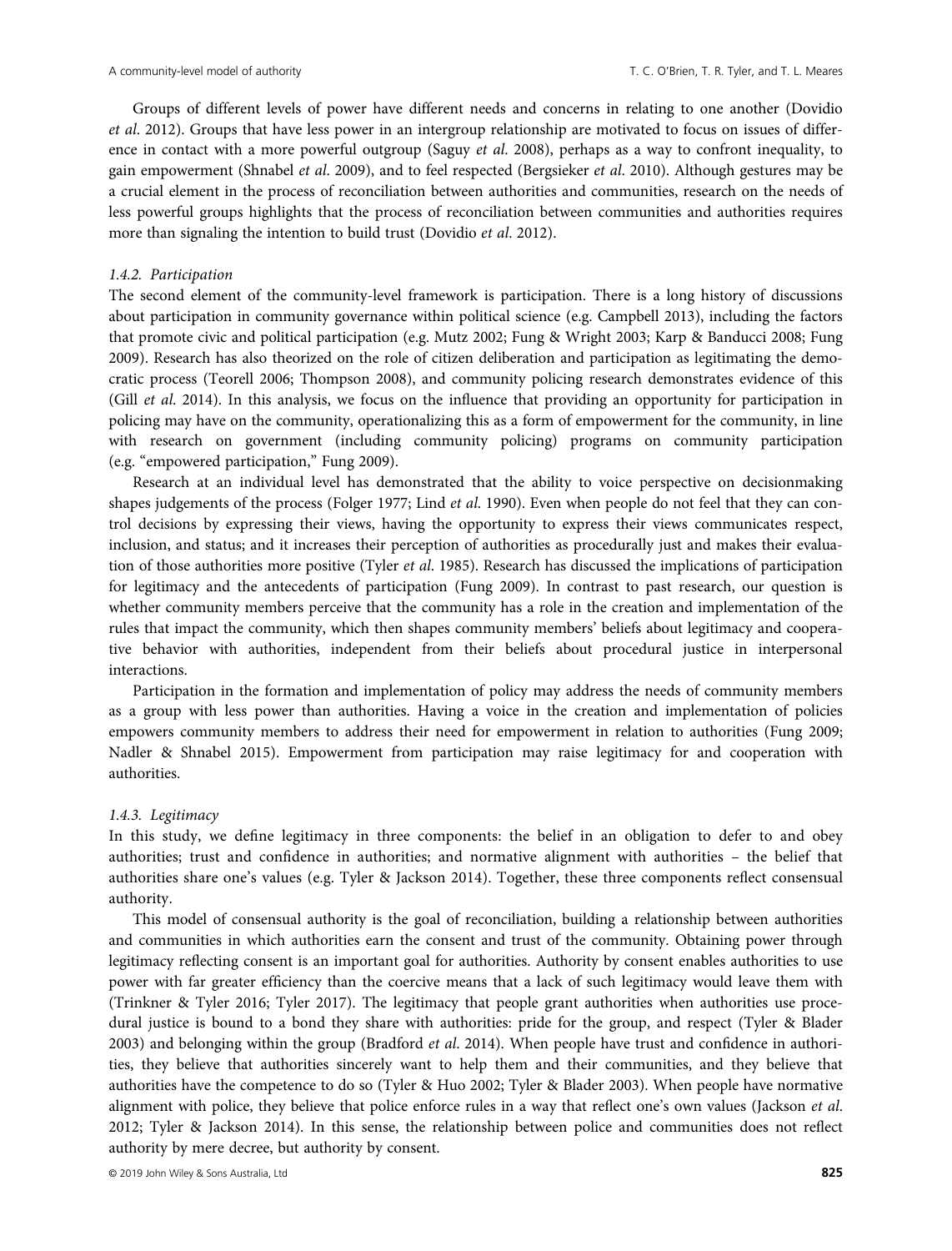Groups of different levels of power have different needs and concerns in relating to one another (Dovidio et al. 2012). Groups that have less power in an intergroup relationship are motivated to focus on issues of difference in contact with a more powerful outgroup (Saguy *et al.* 2008), perhaps as a way to confront inequality, to gain empowerment (Shnabel et al. 2009), and to feel respected (Bergsieker et al. 2010). Although gestures may be a crucial element in the process of reconciliation between authorities and communities, research on the needs of less powerful groups highlights that the process of reconciliation between communities and authorities requires more than signaling the intention to build trust (Dovidio *et al.* 2012).

#### 1.4.2. Participation

The second element of the community-level framework is participation. There is a long history of discussions about participation in community governance within political science (e.g. Campbell 2013), including the factors that promote civic and political participation (e.g. Mutz 2002; Fung & Wright 2003; Karp & Banducci 2008; Fung 2009). Research has also theorized on the role of citizen deliberation and participation as legitimating the democratic process (Teorell 2006; Thompson 2008), and community policing research demonstrates evidence of this (Gill et al. 2014). In this analysis, we focus on the influence that providing an opportunity for participation in policing may have on the community, operationalizing this as a form of empowerment for the community, in line with research on government (including community policing) programs on community participation (e.g. "empowered participation," Fung 2009).

Research at an individual level has demonstrated that the ability to voice perspective on decisionmaking shapes judgements of the process (Folger 1977; Lind *et al.* 1990). Even when people do not feel that they can control decisions by expressing their views, having the opportunity to express their views communicates respect, inclusion, and status; and it increases their perception of authorities as procedurally just and makes their evaluation of those authorities more positive (Tyler *et al.* 1985). Research has discussed the implications of participation for legitimacy and the antecedents of participation (Fung 2009). In contrast to past research, our question is whether community members perceive that the community has a role in the creation and implementation of the rules that impact the community, which then shapes community members' beliefs about legitimacy and cooperative behavior with authorities, independent from their beliefs about procedural justice in interpersonal interactions.

Participation in the formation and implementation of policy may address the needs of community members as a group with less power than authorities. Having a voice in the creation and implementation of policies empowers community members to address their need for empowerment in relation to authorities (Fung 2009; Nadler & Shnabel 2015). Empowerment from participation may raise legitimacy for and cooperation with authorities.

## 1.4.3. Legitimacy

In this study, we define legitimacy in three components: the belief in an obligation to defer to and obey authorities; trust and confidence in authorities; and normative alignment with authorities – the belief that authorities share one's values (e.g. Tyler & Jackson 2014). Together, these three components reflect consensual authority.

This model of consensual authority is the goal of reconciliation, building a relationship between authorities and communities in which authorities earn the consent and trust of the community. Obtaining power through legitimacy reflecting consent is an important goal for authorities. Authority by consent enables authorities to use power with far greater efficiency than the coercive means that a lack of such legitimacy would leave them with (Trinkner & Tyler 2016; Tyler 2017). The legitimacy that people grant authorities when authorities use procedural justice is bound to a bond they share with authorities: pride for the group, and respect (Tyler & Blader 2003) and belonging within the group (Bradford et al. 2014). When people have trust and confidence in authorities, they believe that authorities sincerely want to help them and their communities, and they believe that authorities have the competence to do so (Tyler & Huo 2002; Tyler & Blader 2003). When people have normative alignment with police, they believe that police enforce rules in a way that reflect one's own values (Jackson et al. 2012; Tyler & Jackson 2014). In this sense, the relationship between police and communities does not reflect authority by mere decree, but authority by consent.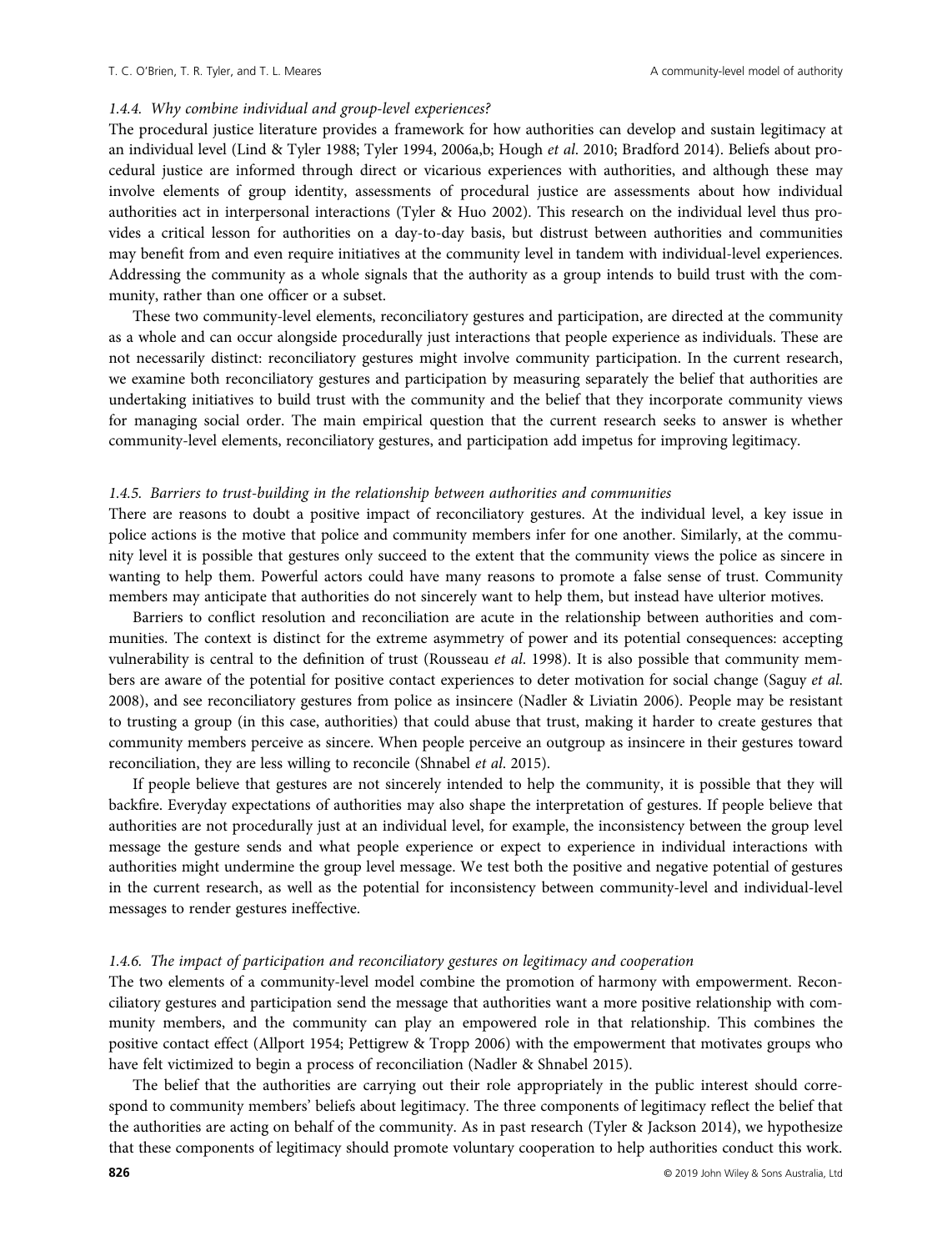## 1.4.4. Why combine individual and group-level experiences?

The procedural justice literature provides a framework for how authorities can develop and sustain legitimacy at an individual level (Lind & Tyler 1988; Tyler 1994, 2006a,b; Hough et al. 2010; Bradford 2014). Beliefs about procedural justice are informed through direct or vicarious experiences with authorities, and although these may involve elements of group identity, assessments of procedural justice are assessments about how individual authorities act in interpersonal interactions (Tyler & Huo 2002). This research on the individual level thus provides a critical lesson for authorities on a day-to-day basis, but distrust between authorities and communities may benefit from and even require initiatives at the community level in tandem with individual-level experiences. Addressing the community as a whole signals that the authority as a group intends to build trust with the community, rather than one officer or a subset.

These two community-level elements, reconciliatory gestures and participation, are directed at the community as a whole and can occur alongside procedurally just interactions that people experience as individuals. These are not necessarily distinct: reconciliatory gestures might involve community participation. In the current research, we examine both reconciliatory gestures and participation by measuring separately the belief that authorities are undertaking initiatives to build trust with the community and the belief that they incorporate community views for managing social order. The main empirical question that the current research seeks to answer is whether community-level elements, reconciliatory gestures, and participation add impetus for improving legitimacy.

#### 1.4.5. Barriers to trust-building in the relationship between authorities and communities

There are reasons to doubt a positive impact of reconciliatory gestures. At the individual level, a key issue in police actions is the motive that police and community members infer for one another. Similarly, at the community level it is possible that gestures only succeed to the extent that the community views the police as sincere in wanting to help them. Powerful actors could have many reasons to promote a false sense of trust. Community members may anticipate that authorities do not sincerely want to help them, but instead have ulterior motives.

Barriers to conflict resolution and reconciliation are acute in the relationship between authorities and communities. The context is distinct for the extreme asymmetry of power and its potential consequences: accepting vulnerability is central to the definition of trust (Rousseau et al. 1998). It is also possible that community members are aware of the potential for positive contact experiences to deter motivation for social change (Saguy et al. 2008), and see reconciliatory gestures from police as insincere (Nadler & Liviatin 2006). People may be resistant to trusting a group (in this case, authorities) that could abuse that trust, making it harder to create gestures that community members perceive as sincere. When people perceive an outgroup as insincere in their gestures toward reconciliation, they are less willing to reconcile (Shnabel et al. 2015).

If people believe that gestures are not sincerely intended to help the community, it is possible that they will backfire. Everyday expectations of authorities may also shape the interpretation of gestures. If people believe that authorities are not procedurally just at an individual level, for example, the inconsistency between the group level message the gesture sends and what people experience or expect to experience in individual interactions with authorities might undermine the group level message. We test both the positive and negative potential of gestures in the current research, as well as the potential for inconsistency between community-level and individual-level messages to render gestures ineffective.

#### 1.4.6. The impact of participation and reconciliatory gestures on legitimacy and cooperation

The two elements of a community-level model combine the promotion of harmony with empowerment. Reconciliatory gestures and participation send the message that authorities want a more positive relationship with community members, and the community can play an empowered role in that relationship. This combines the positive contact effect (Allport 1954; Pettigrew & Tropp 2006) with the empowerment that motivates groups who have felt victimized to begin a process of reconciliation (Nadler & Shnabel 2015).

The belief that the authorities are carrying out their role appropriately in the public interest should correspond to community members' beliefs about legitimacy. The three components of legitimacy reflect the belief that the authorities are acting on behalf of the community. As in past research (Tyler & Jackson 2014), we hypothesize that these components of legitimacy should promote voluntary cooperation to help authorities conduct this work.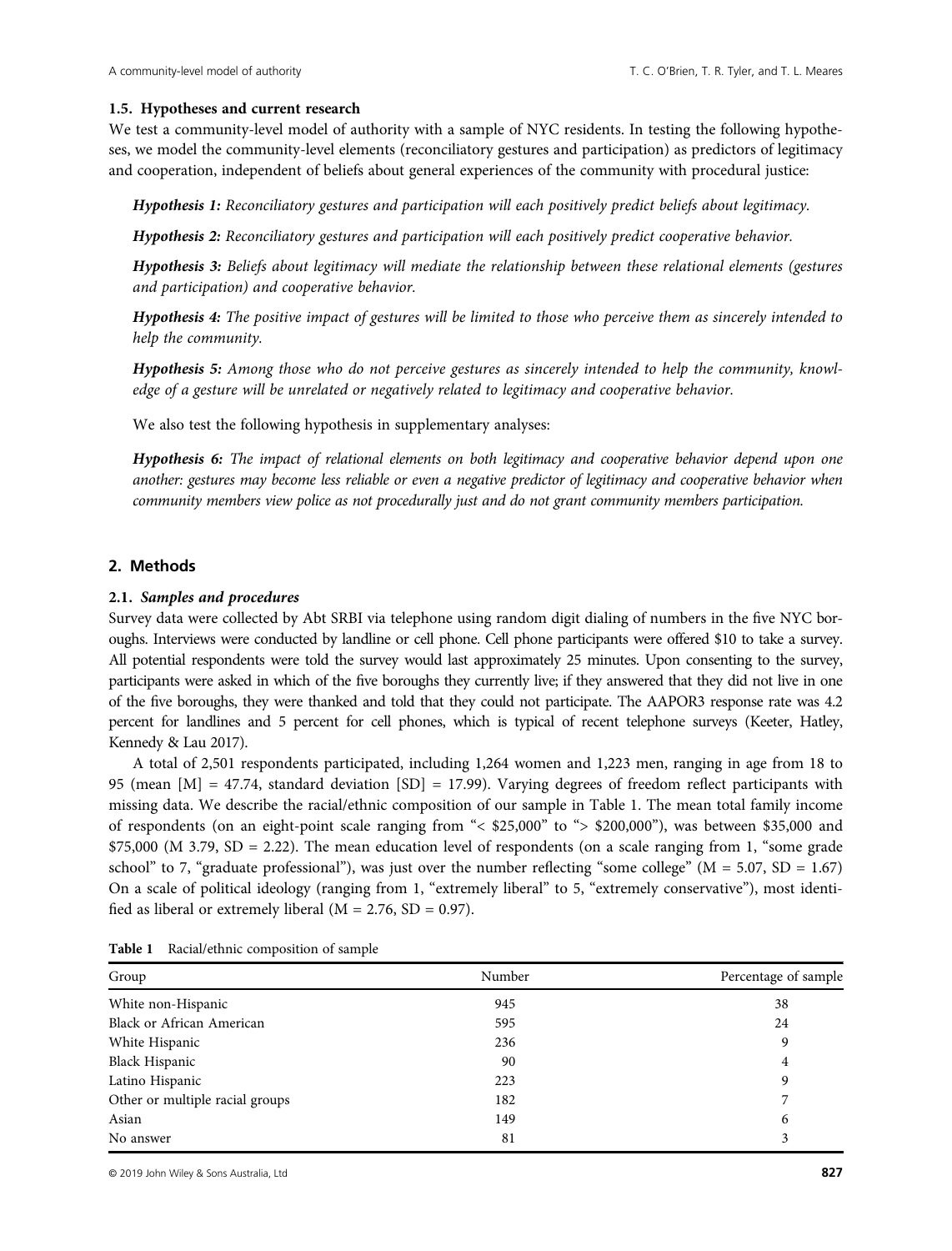## 1.5. Hypotheses and current research

We test a community-level model of authority with a sample of NYC residents. In testing the following hypotheses, we model the community-level elements (reconciliatory gestures and participation) as predictors of legitimacy and cooperation, independent of beliefs about general experiences of the community with procedural justice:

Hypothesis 1: Reconciliatory gestures and participation will each positively predict beliefs about legitimacy.

Hypothesis 2: Reconciliatory gestures and participation will each positively predict cooperative behavior.

Hypothesis 3: Beliefs about legitimacy will mediate the relationship between these relational elements (gestures and participation) and cooperative behavior.

Hypothesis 4: The positive impact of gestures will be limited to those who perceive them as sincerely intended to help the community.

Hypothesis 5: Among those who do not perceive gestures as sincerely intended to help the community, knowledge of a gesture will be unrelated or negatively related to legitimacy and cooperative behavior.

We also test the following hypothesis in supplementary analyses:

Hypothesis 6: The impact of relational elements on both legitimacy and cooperative behavior depend upon one another: gestures may become less reliable or even a negative predictor of legitimacy and cooperative behavior when community members view police as not procedurally just and do not grant community members participation.

# 2. Methods

# 2.1. Samples and procedures

Survey data were collected by Abt SRBI via telephone using random digit dialing of numbers in the five NYC boroughs. Interviews were conducted by landline or cell phone. Cell phone participants were offered \$10 to take a survey. All potential respondents were told the survey would last approximately 25 minutes. Upon consenting to the survey, participants were asked in which of the five boroughs they currently live; if they answered that they did not live in one of the five boroughs, they were thanked and told that they could not participate. The AAPOR3 response rate was 4.2 percent for landlines and 5 percent for cell phones, which is typical of recent telephone surveys (Keeter, Hatley, Kennedy & Lau 2017).

A total of 2,501 respondents participated, including 1,264 women and 1,223 men, ranging in age from 18 to 95 (mean [M] = 47.74, standard deviation [SD] = 17.99). Varying degrees of freedom reflect participants with missing data. We describe the racial/ethnic composition of our sample in Table 1. The mean total family income of respondents (on an eight-point scale ranging from "< \$25,000" to "> \$200,000"), was between \$35,000 and \$75,000 (M 3.79, SD = 2.22). The mean education level of respondents (on a scale ranging from 1, "some grade school" to 7, "graduate professional"), was just over the number reflecting "some college" ( $M = 5.07$ ,  $SD = 1.67$ ) On a scale of political ideology (ranging from 1, "extremely liberal" to 5, "extremely conservative"), most identified as liberal or extremely liberal ( $M = 2.76$ ,  $SD = 0.97$ ).

| Group                            | Number | Percentage of sample |  |  |
|----------------------------------|--------|----------------------|--|--|
| White non-Hispanic               | 945    | 38                   |  |  |
| <b>Black or African American</b> | 595    | 24                   |  |  |
| White Hispanic                   | 236    | 9                    |  |  |
| <b>Black Hispanic</b>            | 90     | 4                    |  |  |
| Latino Hispanic                  | 223    | 9                    |  |  |
| Other or multiple racial groups  | 182    | 7                    |  |  |
| Asian                            | 149    | 6                    |  |  |
| No answer                        | 81     | 3                    |  |  |

Table 1 Racial/ethnic composition of sample

© 2019 John Wiley & Sons Australia, Ltd 827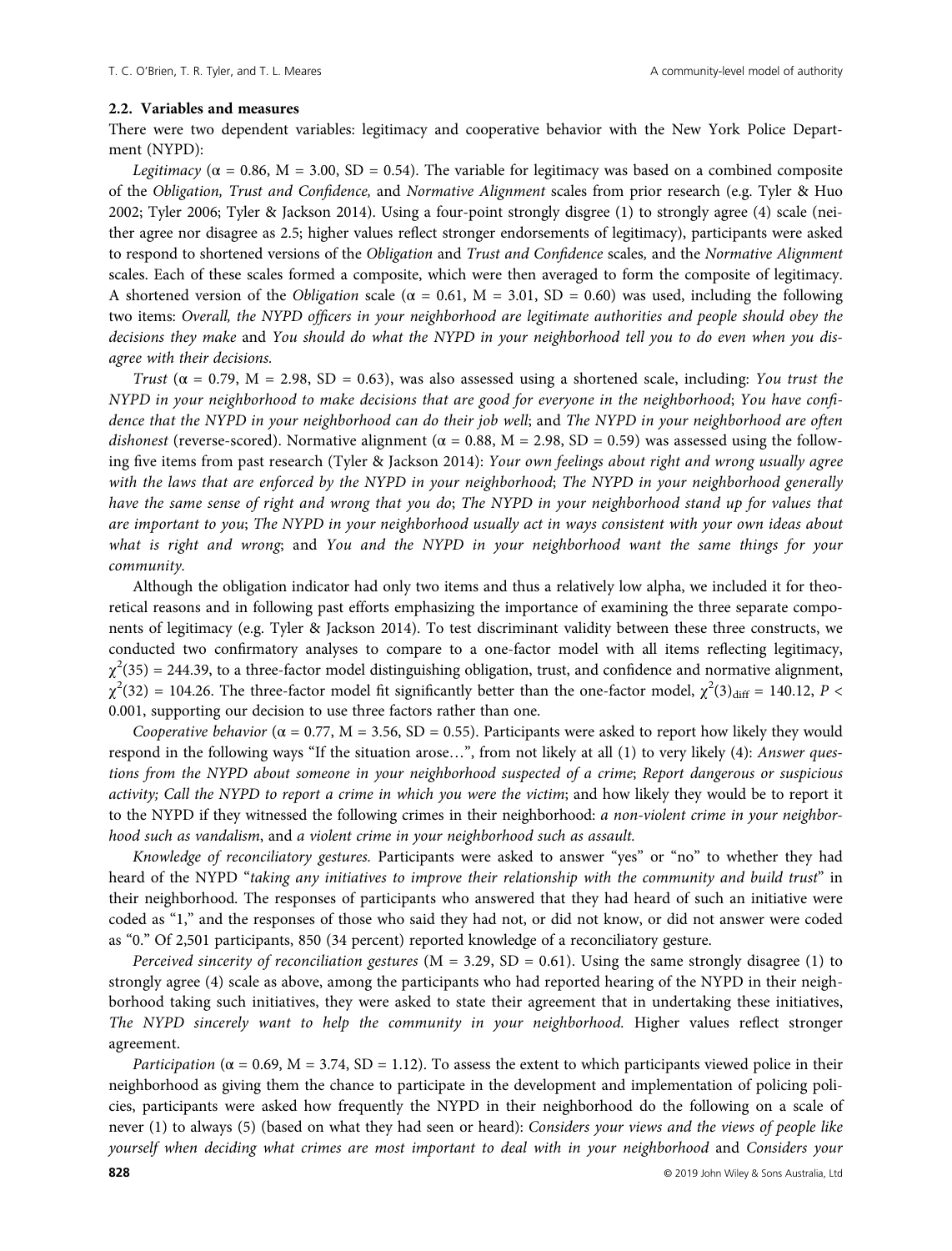#### 2.2. Variables and measures

There were two dependent variables: legitimacy and cooperative behavior with the New York Police Department (NYPD):

Legitimacy ( $\alpha$  = 0.86, M = 3.00, SD = 0.54). The variable for legitimacy was based on a combined composite of the Obligation, Trust and Confidence, and Normative Alignment scales from prior research (e.g. Tyler & Huo 2002; Tyler 2006; Tyler & Jackson 2014). Using a four-point strongly disgree (1) to strongly agree (4) scale (neither agree nor disagree as 2.5; higher values reflect stronger endorsements of legitimacy), participants were asked to respond to shortened versions of the Obligation and Trust and Confidence scales, and the Normative Alignment scales. Each of these scales formed a composite, which were then averaged to form the composite of legitimacy. A shortened version of the *Obligation* scale ( $\alpha = 0.61$ ,  $M = 3.01$ , SD = 0.60) was used, including the following two items: Overall, the NYPD officers in your neighborhood are legitimate authorities and people should obey the decisions they make and You should do what the NYPD in your neighborhood tell you to do even when you disagree with their decisions.

Trust ( $\alpha$  = 0.79, M = 2.98, SD = 0.63), was also assessed using a shortened scale, including: You trust the NYPD in your neighborhood to make decisions that are good for everyone in the neighborhood; You have confidence that the NYPD in your neighborhood can do their job well; and The NYPD in your neighborhood are often dishonest (reverse-scored). Normative alignment ( $\alpha$  = 0.88, M = 2.98, SD = 0.59) was assessed using the following five items from past research (Tyler & Jackson 2014): Your own feelings about right and wrong usually agree with the laws that are enforced by the NYPD in your neighborhood; The NYPD in your neighborhood generally have the same sense of right and wrong that you do; The NYPD in your neighborhood stand up for values that are important to you; The NYPD in your neighborhood usually act in ways consistent with your own ideas about what is right and wrong; and You and the NYPD in your neighborhood want the same things for your community.

Although the obligation indicator had only two items and thus a relatively low alpha, we included it for theoretical reasons and in following past efforts emphasizing the importance of examining the three separate components of legitimacy (e.g. Tyler & Jackson 2014). To test discriminant validity between these three constructs, we conducted two confirmatory analyses to compare to a one-factor model with all items reflecting legitimacy,  $\chi^2(35)$  = 244.39, to a three-factor model distinguishing obligation, trust, and confidence and normative alignment,  $\chi^2(32) = 104.26$ . The three-factor model fit significantly better than the one-factor model,  $\chi^2(3)_{\text{diff}} = 140.12$ ,  $P <$ 0.001, supporting our decision to use three factors rather than one.

Cooperative behavior ( $\alpha = 0.77$ , M = 3.56, SD = 0.55). Participants were asked to report how likely they would respond in the following ways "If the situation arose…", from not likely at all (1) to very likely (4): Answer questions from the NYPD about someone in your neighborhood suspected of a crime; Report dangerous or suspicious activity; Call the NYPD to report a crime in which you were the victim; and how likely they would be to report it to the NYPD if they witnessed the following crimes in their neighborhood: a non-violent crime in your neighborhood such as vandalism, and a violent crime in your neighborhood such as assault.

Knowledge of reconciliatory gestures. Participants were asked to answer "yes" or "no" to whether they had heard of the NYPD "taking any initiatives to improve their relationship with the community and build trust" in their neighborhood. The responses of participants who answered that they had heard of such an initiative were coded as "1," and the responses of those who said they had not, or did not know, or did not answer were coded as "0." Of 2,501 participants, 850 (34 percent) reported knowledge of a reconciliatory gesture.

Perceived sincerity of reconciliation gestures ( $M = 3.29$ ,  $SD = 0.61$ ). Using the same strongly disagree (1) to strongly agree (4) scale as above, among the participants who had reported hearing of the NYPD in their neighborhood taking such initiatives, they were asked to state their agreement that in undertaking these initiatives, The NYPD sincerely want to help the community in your neighborhood. Higher values reflect stronger agreement.

*Participation* ( $\alpha$  = 0.69, M = 3.74, SD = 1.12). To assess the extent to which participants viewed police in their neighborhood as giving them the chance to participate in the development and implementation of policing policies, participants were asked how frequently the NYPD in their neighborhood do the following on a scale of never (1) to always (5) (based on what they had seen or heard): Considers your views and the views of people like yourself when deciding what crimes are most important to deal with in your neighborhood and Considers your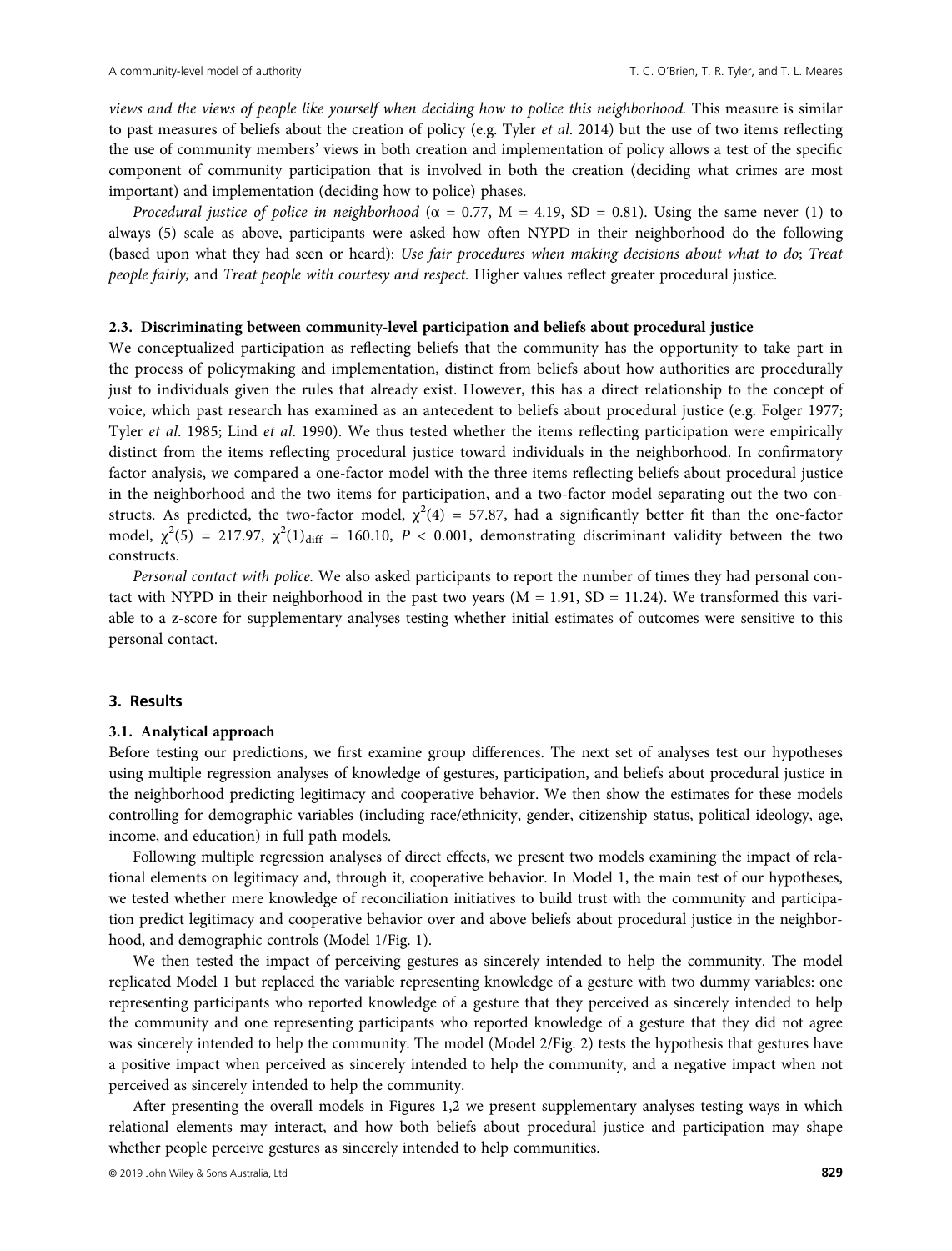views and the views of people like yourself when deciding how to police this neighborhood. This measure is similar to past measures of beliefs about the creation of policy (e.g. Tyler et al. 2014) but the use of two items reflecting the use of community members' views in both creation and implementation of policy allows a test of the specific component of community participation that is involved in both the creation (deciding what crimes are most important) and implementation (deciding how to police) phases.

Procedural justice of police in neighborhood ( $\alpha = 0.77$ , M = 4.19, SD = 0.81). Using the same never (1) to always (5) scale as above, participants were asked how often NYPD in their neighborhood do the following (based upon what they had seen or heard): Use fair procedures when making decisions about what to do; Treat people fairly; and Treat people with courtesy and respect. Higher values reflect greater procedural justice.

## 2.3. Discriminating between community-level participation and beliefs about procedural justice

We conceptualized participation as reflecting beliefs that the community has the opportunity to take part in the process of policymaking and implementation, distinct from beliefs about how authorities are procedurally just to individuals given the rules that already exist. However, this has a direct relationship to the concept of voice, which past research has examined as an antecedent to beliefs about procedural justice (e.g. Folger 1977; Tyler et al. 1985; Lind et al. 1990). We thus tested whether the items reflecting participation were empirically distinct from the items reflecting procedural justice toward individuals in the neighborhood. In confirmatory factor analysis, we compared a one-factor model with the three items reflecting beliefs about procedural justice in the neighborhood and the two items for participation, and a two-factor model separating out the two constructs. As predicted, the two-factor model,  $\chi^2(4) = 57.87$ , had a significantly better fit than the one-factor model,  $\chi^2(5) = 217.97$ ,  $\chi^2(1)_{\text{diff}} = 160.10$ ,  $P < 0.001$ , demonstrating discriminant validity between the two constructs.

Personal contact with police. We also asked participants to report the number of times they had personal contact with NYPD in their neighborhood in the past two years  $(M = 1.91, SD = 11.24)$ . We transformed this variable to a z-score for supplementary analyses testing whether initial estimates of outcomes were sensitive to this personal contact.

#### 3. Results

#### 3.1. Analytical approach

Before testing our predictions, we first examine group differences. The next set of analyses test our hypotheses using multiple regression analyses of knowledge of gestures, participation, and beliefs about procedural justice in the neighborhood predicting legitimacy and cooperative behavior. We then show the estimates for these models controlling for demographic variables (including race/ethnicity, gender, citizenship status, political ideology, age, income, and education) in full path models.

Following multiple regression analyses of direct effects, we present two models examining the impact of relational elements on legitimacy and, through it, cooperative behavior. In Model 1, the main test of our hypotheses, we tested whether mere knowledge of reconciliation initiatives to build trust with the community and participation predict legitimacy and cooperative behavior over and above beliefs about procedural justice in the neighborhood, and demographic controls (Model 1/Fig. 1).

We then tested the impact of perceiving gestures as sincerely intended to help the community. The model replicated Model 1 but replaced the variable representing knowledge of a gesture with two dummy variables: one representing participants who reported knowledge of a gesture that they perceived as sincerely intended to help the community and one representing participants who reported knowledge of a gesture that they did not agree was sincerely intended to help the community. The model (Model 2/Fig. 2) tests the hypothesis that gestures have a positive impact when perceived as sincerely intended to help the community, and a negative impact when not perceived as sincerely intended to help the community.

After presenting the overall models in Figures 1,2 we present supplementary analyses testing ways in which relational elements may interact, and how both beliefs about procedural justice and participation may shape whether people perceive gestures as sincerely intended to help communities.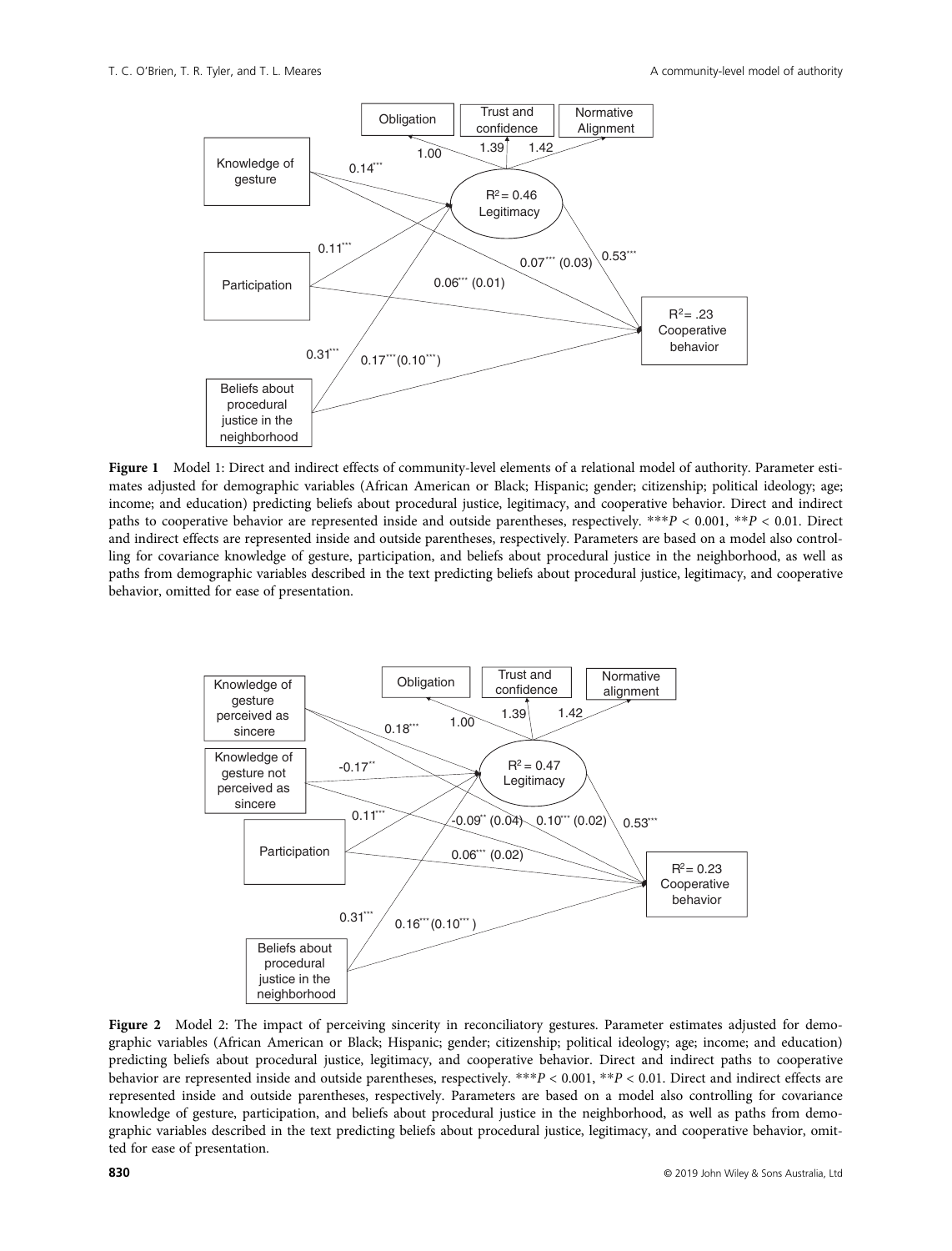

Figure 1 Model 1: Direct and indirect effects of community-level elements of a relational model of authority. Parameter estimates adjusted for demographic variables (African American or Black; Hispanic; gender; citizenship; political ideology; age; income; and education) predicting beliefs about procedural justice, legitimacy, and cooperative behavior. Direct and indirect paths to cooperative behavior are represented inside and outside parentheses, respectively. \*\*\*P < 0.001, \*\*P < 0.01. Direct and indirect effects are represented inside and outside parentheses, respectively. Parameters are based on a model also controlling for covariance knowledge of gesture, participation, and beliefs about procedural justice in the neighborhood, as well as paths from demographic variables described in the text predicting beliefs about procedural justice, legitimacy, and cooperative behavior, omitted for ease of presentation.



Figure 2 Model 2: The impact of perceiving sincerity in reconciliatory gestures. Parameter estimates adjusted for demographic variables (African American or Black; Hispanic; gender; citizenship; political ideology; age; income; and education) predicting beliefs about procedural justice, legitimacy, and cooperative behavior. Direct and indirect paths to cooperative behavior are represented inside and outside parentheses, respectively. \*\*\*P < 0.001, \*\*P < 0.01. Direct and indirect effects are represented inside and outside parentheses, respectively. Parameters are based on a model also controlling for covariance knowledge of gesture, participation, and beliefs about procedural justice in the neighborhood, as well as paths from demographic variables described in the text predicting beliefs about procedural justice, legitimacy, and cooperative behavior, omitted for ease of presentation.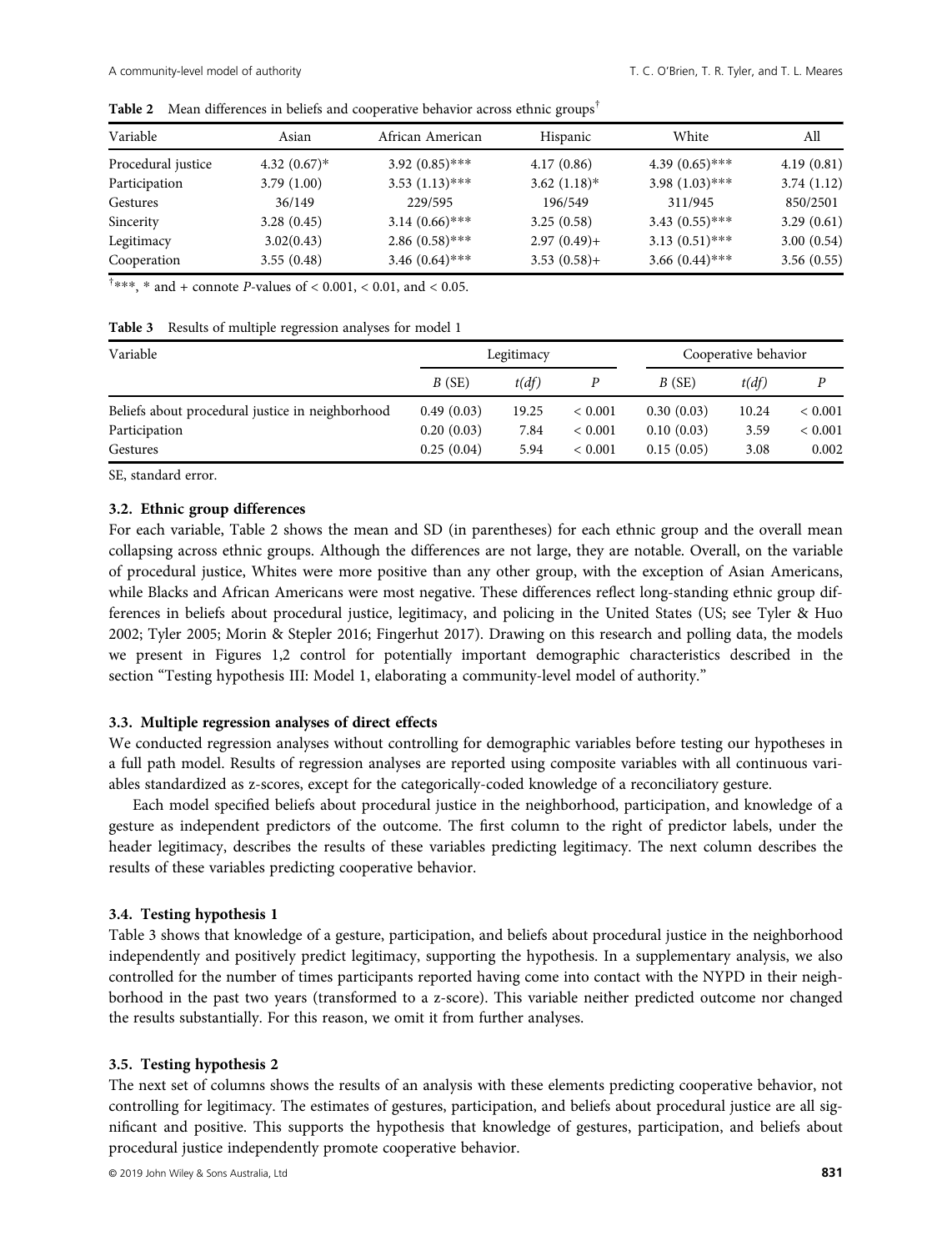| Variable<br>Asian  |                            | African American  | Hispanic       | White             | All        |  |
|--------------------|----------------------------|-------------------|----------------|-------------------|------------|--|
| Procedural justice | 4.32 $(0.67)$ <sup>*</sup> | $3.92(0.85)$ ***  | 4.17(0.86)     | 4.39 $(0.65)$ *** | 4.19(0.81) |  |
| Participation      | 3.79(1.00)                 | $3.53(1.13)$ ***  | $3.62(1.18)$ * | $3.98(1.03)$ ***  | 3.74(1.12) |  |
| Gestures           | 36/149                     | 229/595           | 196/549        | 311/945           | 850/2501   |  |
| Sincerity          | 3.28(0.45)                 | $3.14(0.66)$ ***  | 3.25(0.58)     | $3.43(0.55)$ ***  | 3.29(0.61) |  |
| Legitimacy         | 3.02(0.43)                 | $2.86(0.58)$ ***  | $2.97(0.49) +$ | $3.13(0.51)$ ***  | 3.00(0.54) |  |
| Cooperation        | 3.55(0.48)                 | 3.46 $(0.64)$ *** | $3.53(0.58) +$ | $3.66(0.44)$ ***  | 3.56(0.55) |  |

Table 2 Mean differences in beliefs and cooperative behavior across ethnic groups<sup>†</sup>

 $\dagger$ \*\*\*, \* and + connote *P*-values of < 0.001, < 0.01, and < 0.05.

| Table 3 Results of multiple regression analyses for model 1 |  |
|-------------------------------------------------------------|--|
|-------------------------------------------------------------|--|

| Variable                                         |            | Legitimacy |             |            | Cooperative behavior |             |  |
|--------------------------------------------------|------------|------------|-------------|------------|----------------------|-------------|--|
|                                                  | B(SE)      | t(df)      |             | B(SE)      | t(df)                |             |  |
| Beliefs about procedural justice in neighborhood | 0.49(0.03) | 19.25      | ${}< 0.001$ | 0.30(0.03) | 10.24                | ${}< 0.001$ |  |
| Participation                                    | 0.20(0.03) | 7.84       | ${}< 0.001$ | 0.10(0.03) | 3.59                 | ${}< 0.001$ |  |
| Gestures                                         | 0.25(0.04) | 5.94       | ${}< 0.001$ | 0.15(0.05) | 3.08                 | 0.002       |  |

SE, standard error.

## 3.2. Ethnic group differences

For each variable, Table 2 shows the mean and SD (in parentheses) for each ethnic group and the overall mean collapsing across ethnic groups. Although the differences are not large, they are notable. Overall, on the variable of procedural justice, Whites were more positive than any other group, with the exception of Asian Americans, while Blacks and African Americans were most negative. These differences reflect long-standing ethnic group differences in beliefs about procedural justice, legitimacy, and policing in the United States (US; see Tyler & Huo 2002; Tyler 2005; Morin & Stepler 2016; Fingerhut 2017). Drawing on this research and polling data, the models we present in Figures 1,2 control for potentially important demographic characteristics described in the section "Testing hypothesis III: Model 1, elaborating a community-level model of authority."

## 3.3. Multiple regression analyses of direct effects

We conducted regression analyses without controlling for demographic variables before testing our hypotheses in a full path model. Results of regression analyses are reported using composite variables with all continuous variables standardized as z-scores, except for the categorically-coded knowledge of a reconciliatory gesture.

Each model specified beliefs about procedural justice in the neighborhood, participation, and knowledge of a gesture as independent predictors of the outcome. The first column to the right of predictor labels, under the header legitimacy, describes the results of these variables predicting legitimacy. The next column describes the results of these variables predicting cooperative behavior.

## 3.4. Testing hypothesis 1

Table 3 shows that knowledge of a gesture, participation, and beliefs about procedural justice in the neighborhood independently and positively predict legitimacy, supporting the hypothesis. In a supplementary analysis, we also controlled for the number of times participants reported having come into contact with the NYPD in their neighborhood in the past two years (transformed to a z-score). This variable neither predicted outcome nor changed the results substantially. For this reason, we omit it from further analyses.

#### 3.5. Testing hypothesis 2

The next set of columns shows the results of an analysis with these elements predicting cooperative behavior, not controlling for legitimacy. The estimates of gestures, participation, and beliefs about procedural justice are all significant and positive. This supports the hypothesis that knowledge of gestures, participation, and beliefs about procedural justice independently promote cooperative behavior.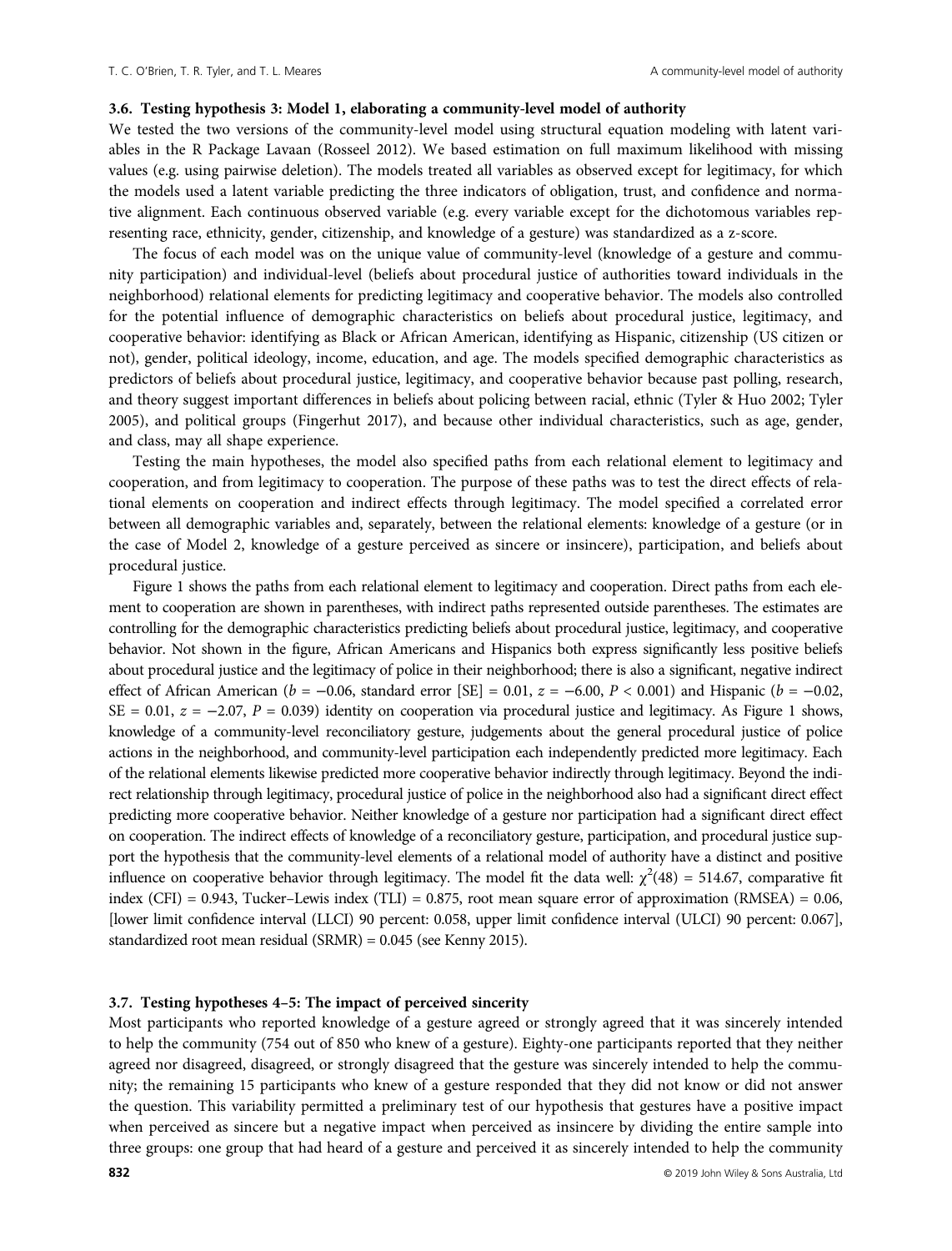### 3.6. Testing hypothesis 3: Model 1, elaborating a community-level model of authority

We tested the two versions of the community-level model using structural equation modeling with latent variables in the R Package Lavaan (Rosseel 2012). We based estimation on full maximum likelihood with missing values (e.g. using pairwise deletion). The models treated all variables as observed except for legitimacy, for which the models used a latent variable predicting the three indicators of obligation, trust, and confidence and normative alignment. Each continuous observed variable (e.g. every variable except for the dichotomous variables representing race, ethnicity, gender, citizenship, and knowledge of a gesture) was standardized as a z-score.

The focus of each model was on the unique value of community-level (knowledge of a gesture and community participation) and individual-level (beliefs about procedural justice of authorities toward individuals in the neighborhood) relational elements for predicting legitimacy and cooperative behavior. The models also controlled for the potential influence of demographic characteristics on beliefs about procedural justice, legitimacy, and cooperative behavior: identifying as Black or African American, identifying as Hispanic, citizenship (US citizen or not), gender, political ideology, income, education, and age. The models specified demographic characteristics as predictors of beliefs about procedural justice, legitimacy, and cooperative behavior because past polling, research, and theory suggest important differences in beliefs about policing between racial, ethnic (Tyler & Huo 2002; Tyler 2005), and political groups (Fingerhut 2017), and because other individual characteristics, such as age, gender, and class, may all shape experience.

Testing the main hypotheses, the model also specified paths from each relational element to legitimacy and cooperation, and from legitimacy to cooperation. The purpose of these paths was to test the direct effects of relational elements on cooperation and indirect effects through legitimacy. The model specified a correlated error between all demographic variables and, separately, between the relational elements: knowledge of a gesture (or in the case of Model 2, knowledge of a gesture perceived as sincere or insincere), participation, and beliefs about procedural justice.

Figure 1 shows the paths from each relational element to legitimacy and cooperation. Direct paths from each element to cooperation are shown in parentheses, with indirect paths represented outside parentheses. The estimates are controlling for the demographic characteristics predicting beliefs about procedural justice, legitimacy, and cooperative behavior. Not shown in the figure, African Americans and Hispanics both express significantly less positive beliefs about procedural justice and the legitimacy of police in their neighborhood; there is also a significant, negative indirect effect of African American ( $b = -0.06$ , standard error [SE] = 0.01,  $z = -6.00$ ,  $P < 0.001$ ) and Hispanic ( $b = -0.02$ , SE = 0.01,  $z = -2.07$ ,  $P = 0.039$ ) identity on cooperation via procedural justice and legitimacy. As Figure 1 shows, knowledge of a community-level reconciliatory gesture, judgements about the general procedural justice of police actions in the neighborhood, and community-level participation each independently predicted more legitimacy. Each of the relational elements likewise predicted more cooperative behavior indirectly through legitimacy. Beyond the indirect relationship through legitimacy, procedural justice of police in the neighborhood also had a significant direct effect predicting more cooperative behavior. Neither knowledge of a gesture nor participation had a significant direct effect on cooperation. The indirect effects of knowledge of a reconciliatory gesture, participation, and procedural justice support the hypothesis that the community-level elements of a relational model of authority have a distinct and positive influence on cooperative behavior through legitimacy. The model fit the data well:  $\chi^2(48) = 514.67$ , comparative fit index (CFI) =  $0.943$ , Tucker–Lewis index (TLI) =  $0.875$ , root mean square error of approximation (RMSEA) =  $0.06$ , [lower limit confidence interval (LLCI) 90 percent: 0.058, upper limit confidence interval (ULCI) 90 percent: 0.067], standardized root mean residual (SRMR) = 0.045 (see Kenny 2015).

# 3.7. Testing hypotheses 4–5: The impact of perceived sincerity

Most participants who reported knowledge of a gesture agreed or strongly agreed that it was sincerely intended to help the community (754 out of 850 who knew of a gesture). Eighty-one participants reported that they neither agreed nor disagreed, disagreed, or strongly disagreed that the gesture was sincerely intended to help the community; the remaining 15 participants who knew of a gesture responded that they did not know or did not answer the question. This variability permitted a preliminary test of our hypothesis that gestures have a positive impact when perceived as sincere but a negative impact when perceived as insincere by dividing the entire sample into three groups: one group that had heard of a gesture and perceived it as sincerely intended to help the community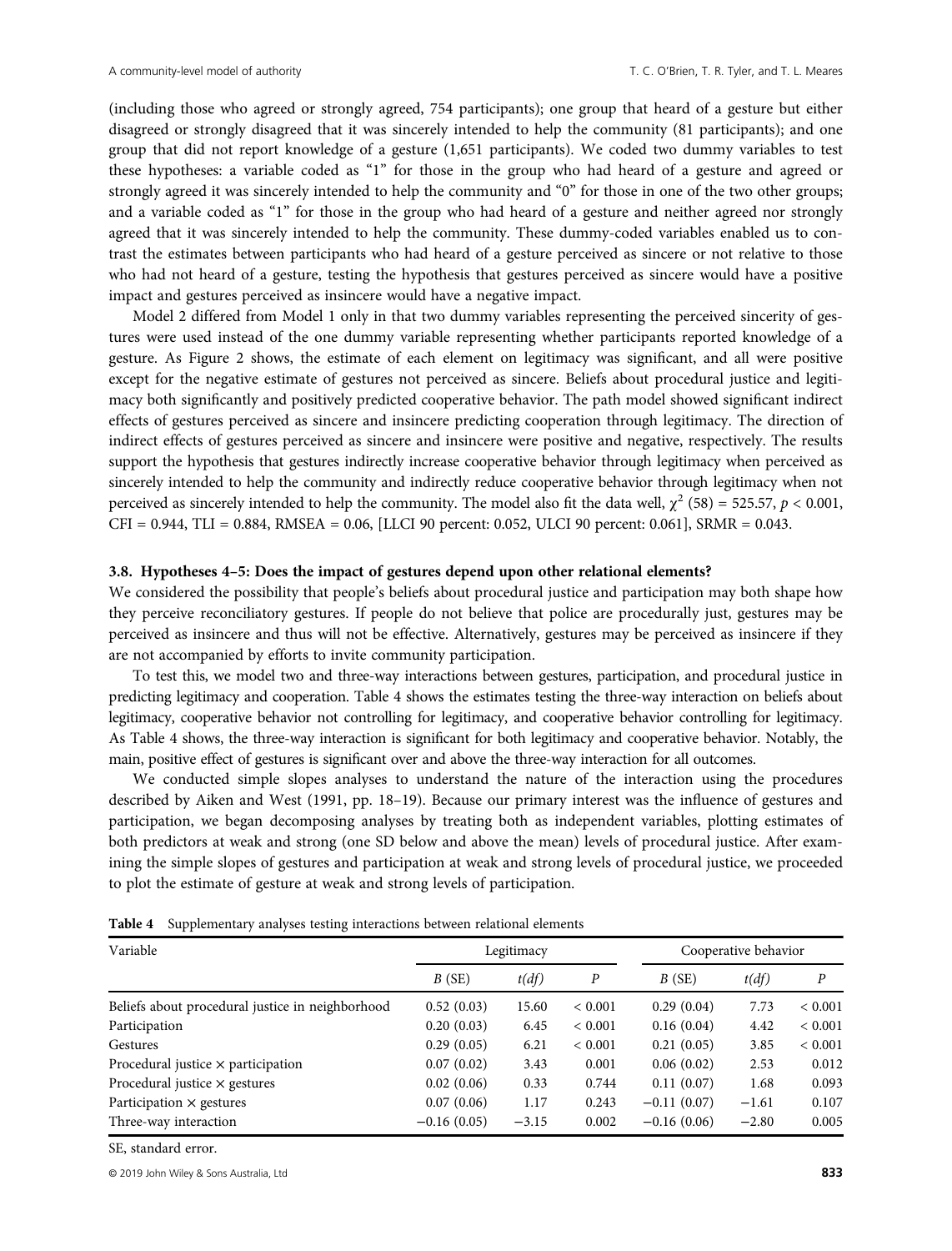(including those who agreed or strongly agreed, 754 participants); one group that heard of a gesture but either disagreed or strongly disagreed that it was sincerely intended to help the community (81 participants); and one group that did not report knowledge of a gesture (1,651 participants). We coded two dummy variables to test these hypotheses: a variable coded as "1" for those in the group who had heard of a gesture and agreed or strongly agreed it was sincerely intended to help the community and "0" for those in one of the two other groups; and a variable coded as "1" for those in the group who had heard of a gesture and neither agreed nor strongly agreed that it was sincerely intended to help the community. These dummy-coded variables enabled us to contrast the estimates between participants who had heard of a gesture perceived as sincere or not relative to those who had not heard of a gesture, testing the hypothesis that gestures perceived as sincere would have a positive impact and gestures perceived as insincere would have a negative impact.

Model 2 differed from Model 1 only in that two dummy variables representing the perceived sincerity of gestures were used instead of the one dummy variable representing whether participants reported knowledge of a gesture. As Figure 2 shows, the estimate of each element on legitimacy was significant, and all were positive except for the negative estimate of gestures not perceived as sincere. Beliefs about procedural justice and legitimacy both significantly and positively predicted cooperative behavior. The path model showed significant indirect effects of gestures perceived as sincere and insincere predicting cooperation through legitimacy. The direction of indirect effects of gestures perceived as sincere and insincere were positive and negative, respectively. The results support the hypothesis that gestures indirectly increase cooperative behavior through legitimacy when perceived as sincerely intended to help the community and indirectly reduce cooperative behavior through legitimacy when not perceived as sincerely intended to help the community. The model also fit the data well,  $\chi^2$  (58) = 525.57,  $p < 0.001$ , CFI = 0.944, TLI = 0.884, RMSEA = 0.06, [LLCI 90 percent: 0.052, ULCI 90 percent: 0.061], SRMR = 0.043.

### 3.8. Hypotheses 4–5: Does the impact of gestures depend upon other relational elements?

We considered the possibility that people's beliefs about procedural justice and participation may both shape how they perceive reconciliatory gestures. If people do not believe that police are procedurally just, gestures may be perceived as insincere and thus will not be effective. Alternatively, gestures may be perceived as insincere if they are not accompanied by efforts to invite community participation.

To test this, we model two and three-way interactions between gestures, participation, and procedural justice in predicting legitimacy and cooperation. Table 4 shows the estimates testing the three-way interaction on beliefs about legitimacy, cooperative behavior not controlling for legitimacy, and cooperative behavior controlling for legitimacy. As Table 4 shows, the three-way interaction is significant for both legitimacy and cooperative behavior. Notably, the main, positive effect of gestures is significant over and above the three-way interaction for all outcomes.

We conducted simple slopes analyses to understand the nature of the interaction using the procedures described by Aiken and West (1991, pp. 18–19). Because our primary interest was the influence of gestures and participation, we began decomposing analyses by treating both as independent variables, plotting estimates of both predictors at weak and strong (one SD below and above the mean) levels of procedural justice. After examining the simple slopes of gestures and participation at weak and strong levels of procedural justice, we proceeded to plot the estimate of gesture at weak and strong levels of participation.

| Variable                                         | Legitimacy    |         |             | Cooperative behavior |         |             |
|--------------------------------------------------|---------------|---------|-------------|----------------------|---------|-------------|
|                                                  | B(SE)         | t(df)   | P           | B(SE)                | t(df)   | P           |
| Beliefs about procedural justice in neighborhood | 0.52(0.03)    | 15.60   | ${}< 0.001$ | 0.29(0.04)           | 7.73    | ${}< 0.001$ |
| Participation                                    | 0.20(0.03)    | 6.45    | ${}< 0.001$ | 0.16(0.04)           | 4.42    | ${}< 0.001$ |
| Gestures                                         | 0.29(0.05)    | 6.21    | ${}< 0.001$ | 0.21(0.05)           | 3.85    | ${}< 0.001$ |
| Procedural justice $\times$ participation        | 0.07(0.02)    | 3.43    | 0.001       | 0.06(0.02)           | 2.53    | 0.012       |
| Procedural justice $\times$ gestures             | 0.02(0.06)    | 0.33    | 0.744       | 0.11(0.07)           | 1.68    | 0.093       |
| Participation $\times$ gestures                  | 0.07(0.06)    | 1.17    | 0.243       | $-0.11(0.07)$        | $-1.61$ | 0.107       |
| Three-way interaction                            | $-0.16(0.05)$ | $-3.15$ | 0.002       | $-0.16(0.06)$        | $-2.80$ | 0.005       |

Table 4 Supplementary analyses testing interactions between relational elements

SE, standard error.

© 2019 John Wiley & Sons Australia, Ltd 833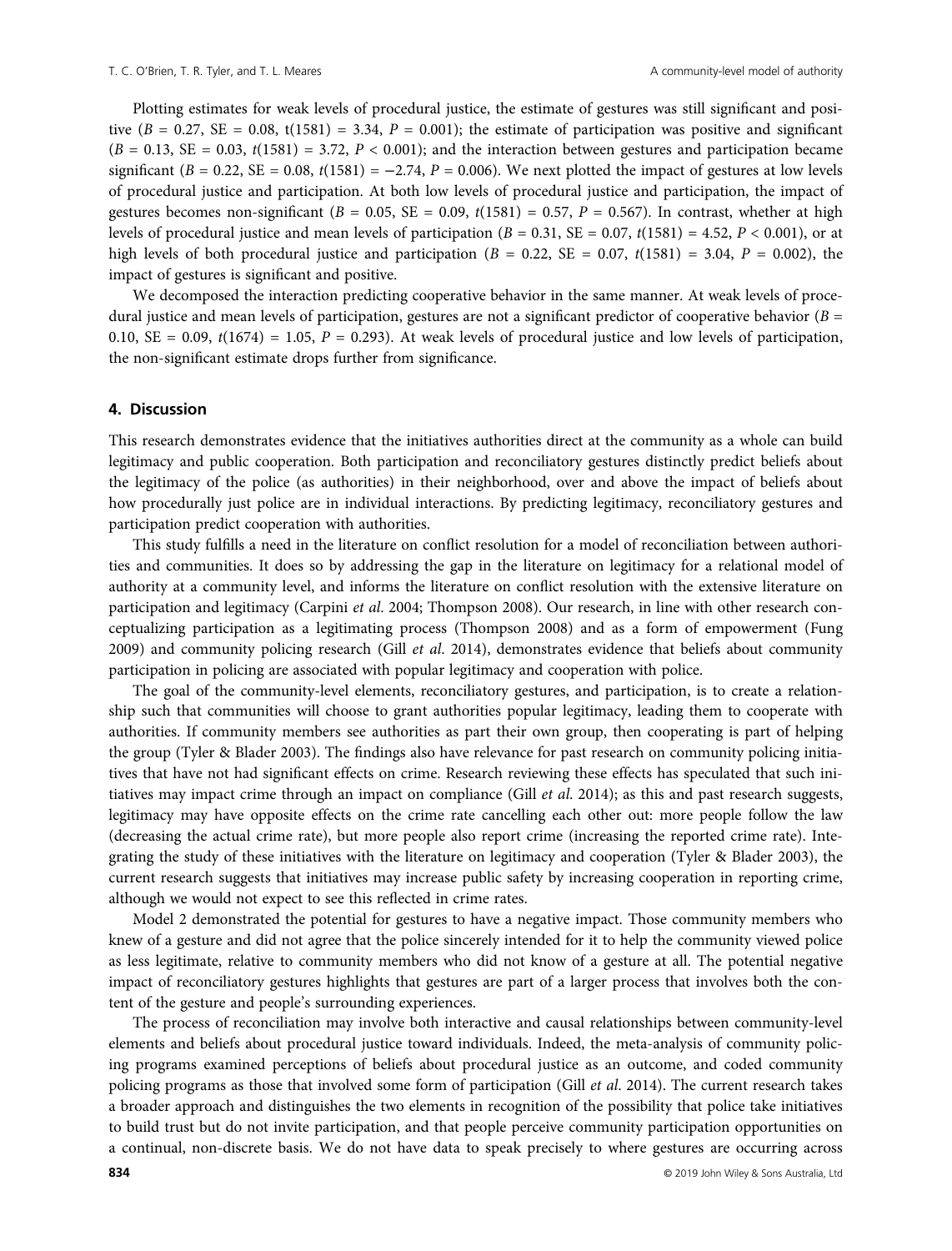Plotting estimates for weak levels of procedural justice, the estimate of gestures was still significant and positive  $(B = 0.27, SE = 0.08, t(1581) = 3.34, P = 0.001)$ ; the estimate of participation was positive and significant  $(B = 0.13, SE = 0.03, t(1581) = 3.72, P < 0.001$ ; and the interaction between gestures and participation became significant  $(B = 0.22, SE = 0.08, t(1581) = -2.74, P = 0.006)$ . We next plotted the impact of gestures at low levels of procedural justice and participation. At both low levels of procedural justice and participation, the impact of gestures becomes non-significant ( $B = 0.05$ ,  $SE = 0.09$ ,  $t(1581) = 0.57$ ,  $P = 0.567$ ). In contrast, whether at high levels of procedural justice and mean levels of participation  $(B = 0.31, SE = 0.07, t(1581) = 4.52, P < 0.001$ , or at high levels of both procedural justice and participation ( $B = 0.22$ ,  $SE = 0.07$ ,  $t(1581) = 3.04$ ,  $P = 0.002$ ), the impact of gestures is significant and positive.

We decomposed the interaction predicting cooperative behavior in the same manner. At weak levels of procedural justice and mean levels of participation, gestures are not a significant predictor of cooperative behavior  $(B =$ 0.10, SE = 0.09,  $t(1674) = 1.05$ ,  $P = 0.293$ ). At weak levels of procedural justice and low levels of participation, the non-significant estimate drops further from significance.

## 4. Discussion

This research demonstrates evidence that the initiatives authorities direct at the community as a whole can build legitimacy and public cooperation. Both participation and reconciliatory gestures distinctly predict beliefs about the legitimacy of the police (as authorities) in their neighborhood, over and above the impact of beliefs about how procedurally just police are in individual interactions. By predicting legitimacy, reconciliatory gestures and participation predict cooperation with authorities.

This study fulfills a need in the literature on conflict resolution for a model of reconciliation between authorities and communities. It does so by addressing the gap in the literature on legitimacy for a relational model of authority at a community level, and informs the literature on conflict resolution with the extensive literature on participation and legitimacy (Carpini et al. 2004; Thompson 2008). Our research, in line with other research conceptualizing participation as a legitimating process (Thompson 2008) and as a form of empowerment (Fung 2009) and community policing research (Gill et al. 2014), demonstrates evidence that beliefs about community participation in policing are associated with popular legitimacy and cooperation with police.

The goal of the community-level elements, reconciliatory gestures, and participation, is to create a relationship such that communities will choose to grant authorities popular legitimacy, leading them to cooperate with authorities. If community members see authorities as part their own group, then cooperating is part of helping the group (Tyler & Blader 2003). The findings also have relevance for past research on community policing initiatives that have not had significant effects on crime. Research reviewing these effects has speculated that such initiatives may impact crime through an impact on compliance (Gill  $et$   $al$ . 2014); as this and past research suggests, legitimacy may have opposite effects on the crime rate cancelling each other out: more people follow the law (decreasing the actual crime rate), but more people also report crime (increasing the reported crime rate). Integrating the study of these initiatives with the literature on legitimacy and cooperation (Tyler & Blader 2003), the current research suggests that initiatives may increase public safety by increasing cooperation in reporting crime, although we would not expect to see this reflected in crime rates.

Model 2 demonstrated the potential for gestures to have a negative impact. Those community members who knew of a gesture and did not agree that the police sincerely intended for it to help the community viewed police as less legitimate, relative to community members who did not know of a gesture at all. The potential negative impact of reconciliatory gestures highlights that gestures are part of a larger process that involves both the content of the gesture and people's surrounding experiences.

The process of reconciliation may involve both interactive and causal relationships between community-level elements and beliefs about procedural justice toward individuals. Indeed, the meta-analysis of community policing programs examined perceptions of beliefs about procedural justice as an outcome, and coded community policing programs as those that involved some form of participation (Gill et al. 2014). The current research takes a broader approach and distinguishes the two elements in recognition of the possibility that police take initiatives to build trust but do not invite participation, and that people perceive community participation opportunities on a continual, non-discrete basis. We do not have data to speak precisely to where gestures are occurring across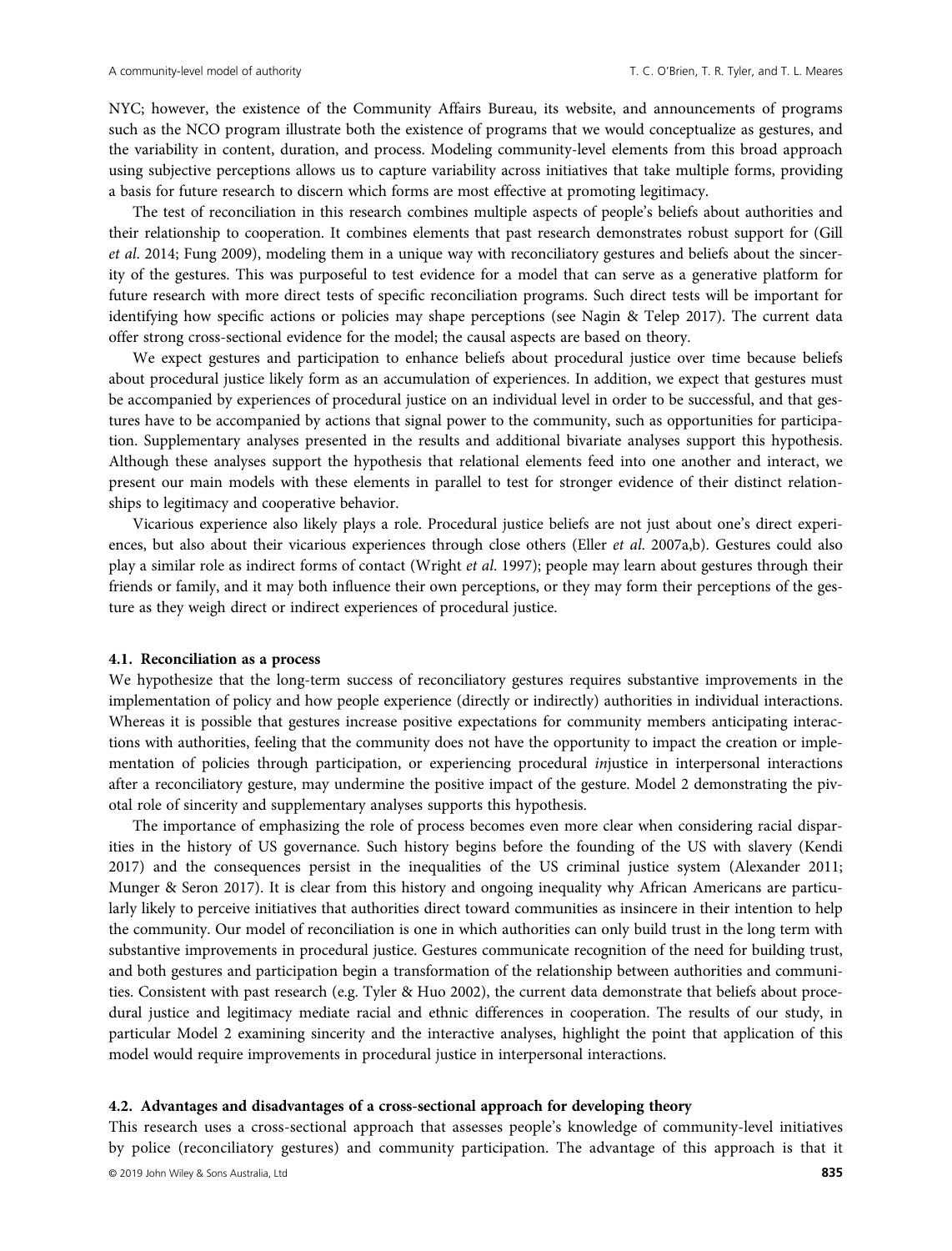NYC; however, the existence of the Community Affairs Bureau, its website, and announcements of programs such as the NCO program illustrate both the existence of programs that we would conceptualize as gestures, and the variability in content, duration, and process. Modeling community-level elements from this broad approach using subjective perceptions allows us to capture variability across initiatives that take multiple forms, providing a basis for future research to discern which forms are most effective at promoting legitimacy.

The test of reconciliation in this research combines multiple aspects of people's beliefs about authorities and their relationship to cooperation. It combines elements that past research demonstrates robust support for (Gill et al. 2014; Fung 2009), modeling them in a unique way with reconciliatory gestures and beliefs about the sincerity of the gestures. This was purposeful to test evidence for a model that can serve as a generative platform for future research with more direct tests of specific reconciliation programs. Such direct tests will be important for identifying how specific actions or policies may shape perceptions (see Nagin & Telep 2017). The current data offer strong cross-sectional evidence for the model; the causal aspects are based on theory.

We expect gestures and participation to enhance beliefs about procedural justice over time because beliefs about procedural justice likely form as an accumulation of experiences. In addition, we expect that gestures must be accompanied by experiences of procedural justice on an individual level in order to be successful, and that gestures have to be accompanied by actions that signal power to the community, such as opportunities for participation. Supplementary analyses presented in the results and additional bivariate analyses support this hypothesis. Although these analyses support the hypothesis that relational elements feed into one another and interact, we present our main models with these elements in parallel to test for stronger evidence of their distinct relationships to legitimacy and cooperative behavior.

Vicarious experience also likely plays a role. Procedural justice beliefs are not just about one's direct experiences, but also about their vicarious experiences through close others (Eller et al. 2007a,b). Gestures could also play a similar role as indirect forms of contact (Wright et al. 1997); people may learn about gestures through their friends or family, and it may both influence their own perceptions, or they may form their perceptions of the gesture as they weigh direct or indirect experiences of procedural justice.

#### 4.1. Reconciliation as a process

We hypothesize that the long-term success of reconciliatory gestures requires substantive improvements in the implementation of policy and how people experience (directly or indirectly) authorities in individual interactions. Whereas it is possible that gestures increase positive expectations for community members anticipating interactions with authorities, feeling that the community does not have the opportunity to impact the creation or implementation of policies through participation, or experiencing procedural injustice in interpersonal interactions after a reconciliatory gesture, may undermine the positive impact of the gesture. Model 2 demonstrating the pivotal role of sincerity and supplementary analyses supports this hypothesis.

The importance of emphasizing the role of process becomes even more clear when considering racial disparities in the history of US governance. Such history begins before the founding of the US with slavery (Kendi 2017) and the consequences persist in the inequalities of the US criminal justice system (Alexander 2011; Munger & Seron 2017). It is clear from this history and ongoing inequality why African Americans are particularly likely to perceive initiatives that authorities direct toward communities as insincere in their intention to help the community. Our model of reconciliation is one in which authorities can only build trust in the long term with substantive improvements in procedural justice. Gestures communicate recognition of the need for building trust, and both gestures and participation begin a transformation of the relationship between authorities and communities. Consistent with past research (e.g. Tyler & Huo 2002), the current data demonstrate that beliefs about procedural justice and legitimacy mediate racial and ethnic differences in cooperation. The results of our study, in particular Model 2 examining sincerity and the interactive analyses, highlight the point that application of this model would require improvements in procedural justice in interpersonal interactions.

# 4.2. Advantages and disadvantages of a cross-sectional approach for developing theory

This research uses a cross-sectional approach that assesses people's knowledge of community-level initiatives by police (reconciliatory gestures) and community participation. The advantage of this approach is that it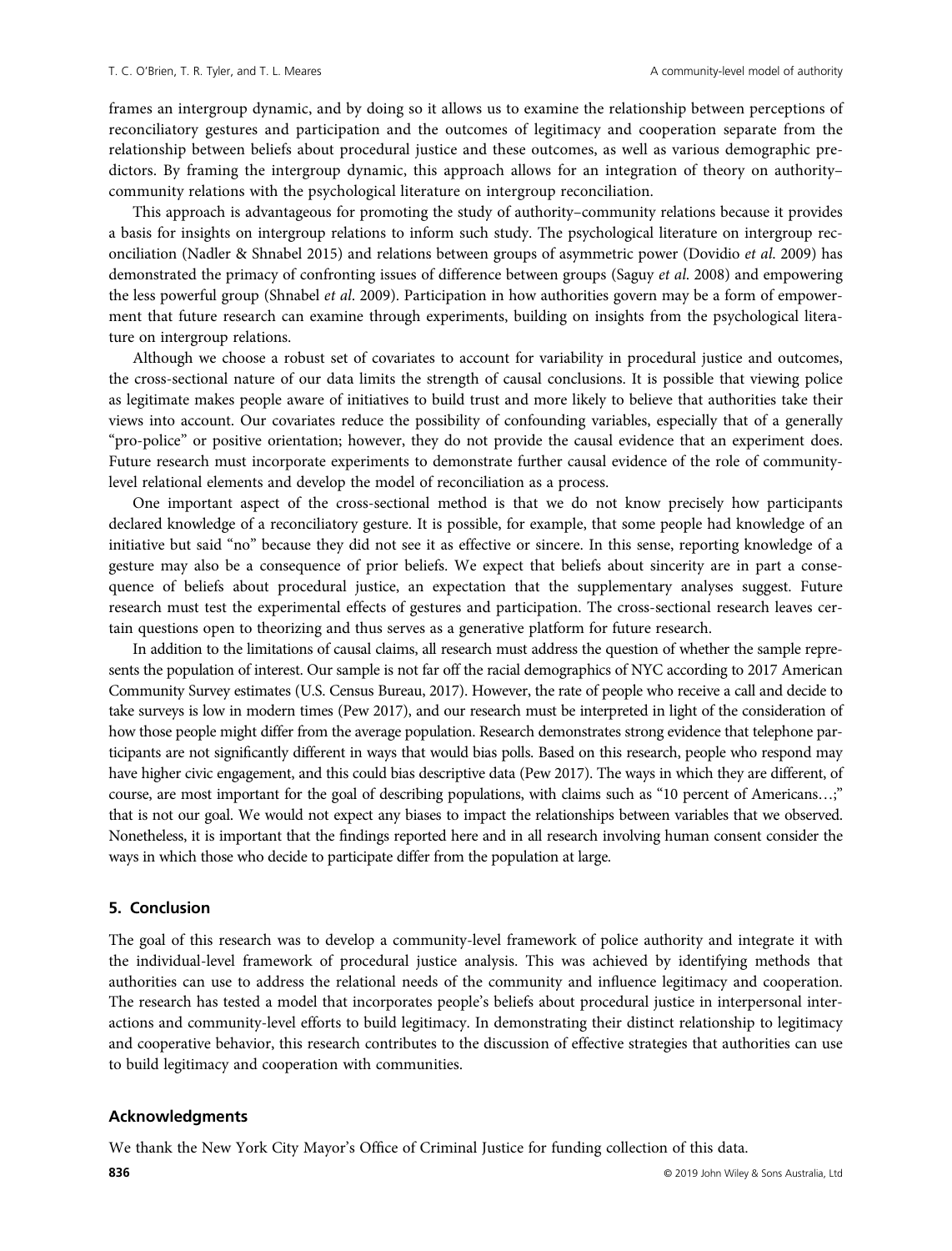frames an intergroup dynamic, and by doing so it allows us to examine the relationship between perceptions of reconciliatory gestures and participation and the outcomes of legitimacy and cooperation separate from the relationship between beliefs about procedural justice and these outcomes, as well as various demographic predictors. By framing the intergroup dynamic, this approach allows for an integration of theory on authority– community relations with the psychological literature on intergroup reconciliation.

This approach is advantageous for promoting the study of authority–community relations because it provides a basis for insights on intergroup relations to inform such study. The psychological literature on intergroup reconciliation (Nadler & Shnabel 2015) and relations between groups of asymmetric power (Dovidio et al. 2009) has demonstrated the primacy of confronting issues of difference between groups (Saguy et al. 2008) and empowering the less powerful group (Shnabel et al. 2009). Participation in how authorities govern may be a form of empowerment that future research can examine through experiments, building on insights from the psychological literature on intergroup relations.

Although we choose a robust set of covariates to account for variability in procedural justice and outcomes, the cross-sectional nature of our data limits the strength of causal conclusions. It is possible that viewing police as legitimate makes people aware of initiatives to build trust and more likely to believe that authorities take their views into account. Our covariates reduce the possibility of confounding variables, especially that of a generally "pro-police" or positive orientation; however, they do not provide the causal evidence that an experiment does. Future research must incorporate experiments to demonstrate further causal evidence of the role of communitylevel relational elements and develop the model of reconciliation as a process.

One important aspect of the cross-sectional method is that we do not know precisely how participants declared knowledge of a reconciliatory gesture. It is possible, for example, that some people had knowledge of an initiative but said "no" because they did not see it as effective or sincere. In this sense, reporting knowledge of a gesture may also be a consequence of prior beliefs. We expect that beliefs about sincerity are in part a consequence of beliefs about procedural justice, an expectation that the supplementary analyses suggest. Future research must test the experimental effects of gestures and participation. The cross-sectional research leaves certain questions open to theorizing and thus serves as a generative platform for future research.

In addition to the limitations of causal claims, all research must address the question of whether the sample represents the population of interest. Our sample is not far off the racial demographics of NYC according to 2017 American Community Survey estimates (U.S. Census Bureau, 2017). However, the rate of people who receive a call and decide to take surveys is low in modern times (Pew 2017), and our research must be interpreted in light of the consideration of how those people might differ from the average population. Research demonstrates strong evidence that telephone participants are not significantly different in ways that would bias polls. Based on this research, people who respond may have higher civic engagement, and this could bias descriptive data (Pew 2017). The ways in which they are different, of course, are most important for the goal of describing populations, with claims such as "10 percent of Americans…;" that is not our goal. We would not expect any biases to impact the relationships between variables that we observed. Nonetheless, it is important that the findings reported here and in all research involving human consent consider the ways in which those who decide to participate differ from the population at large.

#### 5. Conclusion

The goal of this research was to develop a community-level framework of police authority and integrate it with the individual-level framework of procedural justice analysis. This was achieved by identifying methods that authorities can use to address the relational needs of the community and influence legitimacy and cooperation. The research has tested a model that incorporates people's beliefs about procedural justice in interpersonal interactions and community-level efforts to build legitimacy. In demonstrating their distinct relationship to legitimacy and cooperative behavior, this research contributes to the discussion of effective strategies that authorities can use to build legitimacy and cooperation with communities.

#### Acknowledgments

We thank the New York City Mayor's Office of Criminal Justice for funding collection of this data.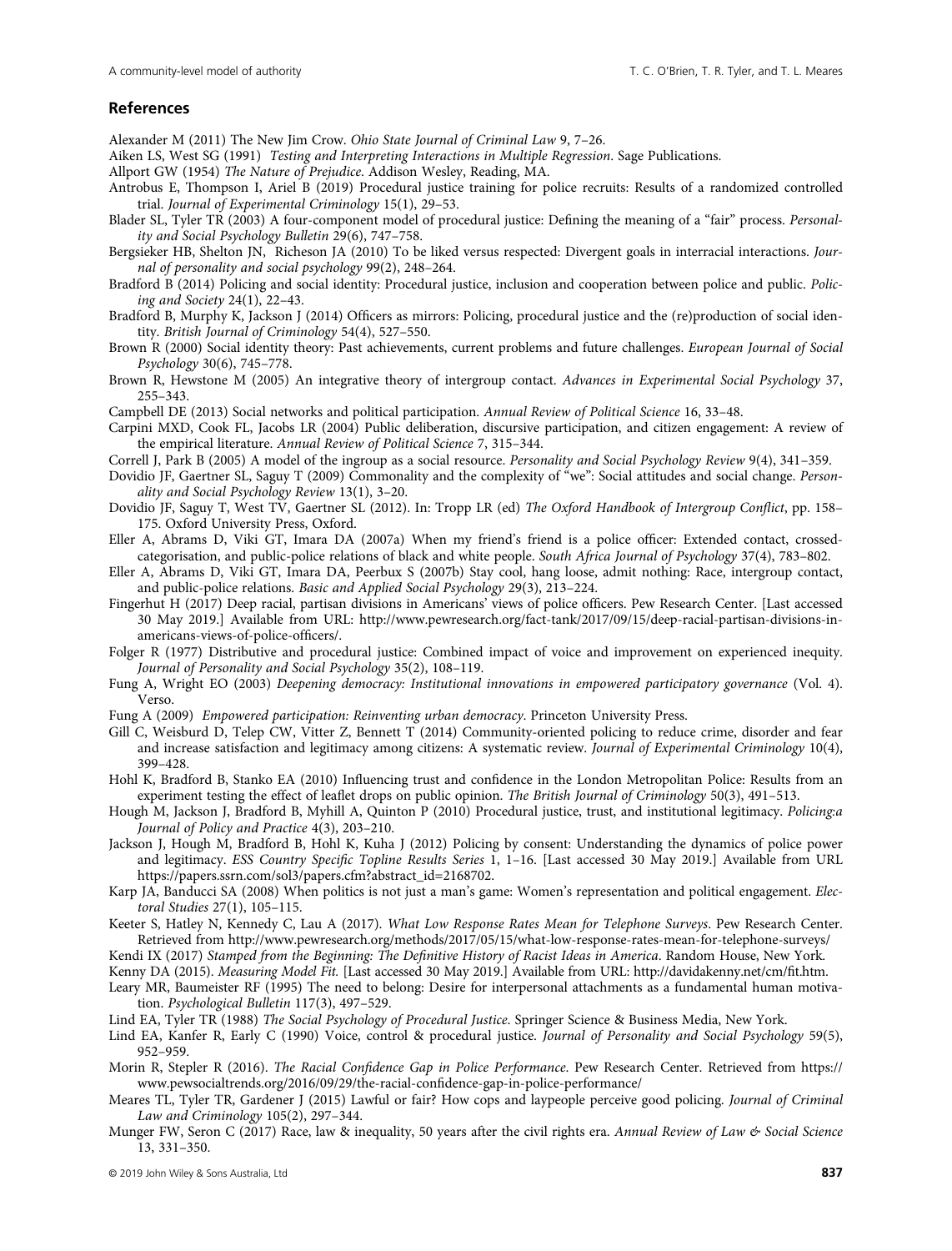## References

Alexander M (2011) The New Jim Crow. Ohio State Journal of Criminal Law 9, 7-26.

Aiken LS, West SG (1991) Testing and Interpreting Interactions in Multiple Regression. Sage Publications.

- Allport GW (1954) The Nature of Prejudice. Addison Wesley, Reading, MA.
- Antrobus E, Thompson I, Ariel B (2019) Procedural justice training for police recruits: Results of a randomized controlled trial. Journal of Experimental Criminology 15(1), 29–53.
- Blader SL, Tyler TR (2003) A four-component model of procedural justice: Defining the meaning of a "fair" process. Personality and Social Psychology Bulletin 29(6), 747–758.
- Bergsieker HB, Shelton JN, Richeson JA (2010) To be liked versus respected: Divergent goals in interracial interactions. Journal of personality and social psychology 99(2), 248–264.
- Bradford B (2014) Policing and social identity: Procedural justice, inclusion and cooperation between police and public. Policing and Society 24(1), 22–43.
- Bradford B, Murphy K, Jackson J (2014) Officers as mirrors: Policing, procedural justice and the (re)production of social identity. British Journal of Criminology 54(4), 527–550.
- Brown R (2000) Social identity theory: Past achievements, current problems and future challenges. European Journal of Social Psychology 30(6), 745–778.
- Brown R, Hewstone M (2005) An integrative theory of intergroup contact. Advances in Experimental Social Psychology 37, 255–343.

Campbell DE (2013) Social networks and political participation. Annual Review of Political Science 16, 33–48.

- Carpini MXD, Cook FL, Jacobs LR (2004) Public deliberation, discursive participation, and citizen engagement: A review of the empirical literature. Annual Review of Political Science 7, 315–344.
- Correll J, Park B (2005) A model of the ingroup as a social resource. Personality and Social Psychology Review 9(4), 341–359.
- Dovidio JF, Gaertner SL, Saguy T (2009) Commonality and the complexity of "we": Social attitudes and social change. Personality and Social Psychology Review 13(1), 3–20.
- Dovidio JF, Saguy T, West TV, Gaertner SL (2012). In: Tropp LR (ed) The Oxford Handbook of Intergroup Conflict, pp. 158– 175. Oxford University Press, Oxford.
- Eller A, Abrams D, Viki GT, Imara DA (2007a) When my friend's friend is a police officer: Extended contact, crossedcategorisation, and public-police relations of black and white people. South Africa Journal of Psychology 37(4), 783–802.
- Eller A, Abrams D, Viki GT, Imara DA, Peerbux S (2007b) Stay cool, hang loose, admit nothing: Race, intergroup contact, and public-police relations. Basic and Applied Social Psychology 29(3), 213–224.
- Fingerhut H (2017) Deep racial, partisan divisions in Americans' views of police officers. Pew Research Center. [Last accessed 30 May 2019.] Available from URL: [http://www.pewresearch.org/fact-tank/2017/09/15/deep-racial-partisan-divisions-in](http://www.pewresearch.org/fact-tank/2017/09/15/deep-racial-partisan-divisions-in-americans-views-of-police-officers/)[americans-views-of-police-of](http://www.pewresearch.org/fact-tank/2017/09/15/deep-racial-partisan-divisions-in-americans-views-of-police-officers/)ficers/.
- Folger R (1977) Distributive and procedural justice: Combined impact of voice and improvement on experienced inequity. Journal of Personality and Social Psychology 35(2), 108–119.
- Fung A, Wright EO (2003) Deepening democracy: Institutional innovations in empowered participatory governance (Vol. 4). Verso.
- Fung A (2009) Empowered participation: Reinventing urban democracy. Princeton University Press.
- Gill C, Weisburd D, Telep CW, Vitter Z, Bennett T (2014) Community-oriented policing to reduce crime, disorder and fear and increase satisfaction and legitimacy among citizens: A systematic review. Journal of Experimental Criminology 10(4), 399–428.
- Hohl K, Bradford B, Stanko EA (2010) Influencing trust and confidence in the London Metropolitan Police: Results from an experiment testing the effect of leaflet drops on public opinion. The British Journal of Criminology 50(3), 491–513.
- Hough M, Jackson J, Bradford B, Myhill A, Quinton P (2010) Procedural justice, trust, and institutional legitimacy. Policing:a Journal of Policy and Practice 4(3), 203–210.
- Jackson J, Hough M, Bradford B, Hohl K, Kuha J (2012) Policing by consent: Understanding the dynamics of police power and legitimacy. ESS Country Specific Topline Results Series 1, 1-16. [Last accessed 30 May 2019.] Available from URL [https://papers.ssrn.com/sol3/papers.cfm?abstract\\_id=2168702](https://papers.ssrn.com/sol3/papers.cfm?abstract_id=2168702).
- Karp JA, Banducci SA (2008) When politics is not just a man's game: Women's representation and political engagement. Electoral Studies 27(1), 105–115.
- Keeter S, Hatley N, Kennedy C, Lau A (2017). What Low Response Rates Mean for Telephone Surveys. Pew Research Center. Retrieved from<http://www.pewresearch.org/methods/2017/05/15/what-low-response-rates-mean-for-telephone-surveys/>

Kendi IX (2017) Stamped from the Beginning: The Definitive History of Racist Ideas in America. Random House, New York.

- Kenny DA (2015). Measuring Model Fit. [Last accessed 30 May 2019.] Available from URL: [http://davidakenny.net/cm/](http://davidakenny.net/cm/fit.htm)fit.htm. Leary MR, Baumeister RF (1995) The need to belong: Desire for interpersonal attachments as a fundamental human motiva-
- tion. Psychological Bulletin 117(3), 497–529.
- Lind EA, Tyler TR (1988) The Social Psychology of Procedural Justice. Springer Science & Business Media, New York.
- Lind EA, Kanfer R, Early C (1990) Voice, control & procedural justice. Journal of Personality and Social Psychology 59(5), 952–959.
- Morin R, Stepler R (2016). The Racial Confidence Gap in Police Performance. Pew Research Center. Retrieved from [https://](https://www.pewsocialtrends.org/2016/09/29/the-racial-confidence-gap-in-police-performance/) [www.pewsocialtrends.org/2016/09/29/the-racial-con](https://www.pewsocialtrends.org/2016/09/29/the-racial-confidence-gap-in-police-performance/)fidence-gap-in-police-performance/
- Meares TL, Tyler TR, Gardener J (2015) Lawful or fair? How cops and laypeople perceive good policing. Journal of Criminal Law and Criminology 105(2), 297–344.
- Munger FW, Seron C (2017) Race, law & inequality, 50 years after the civil rights era. Annual Review of Law & Social Science 13, 331–350.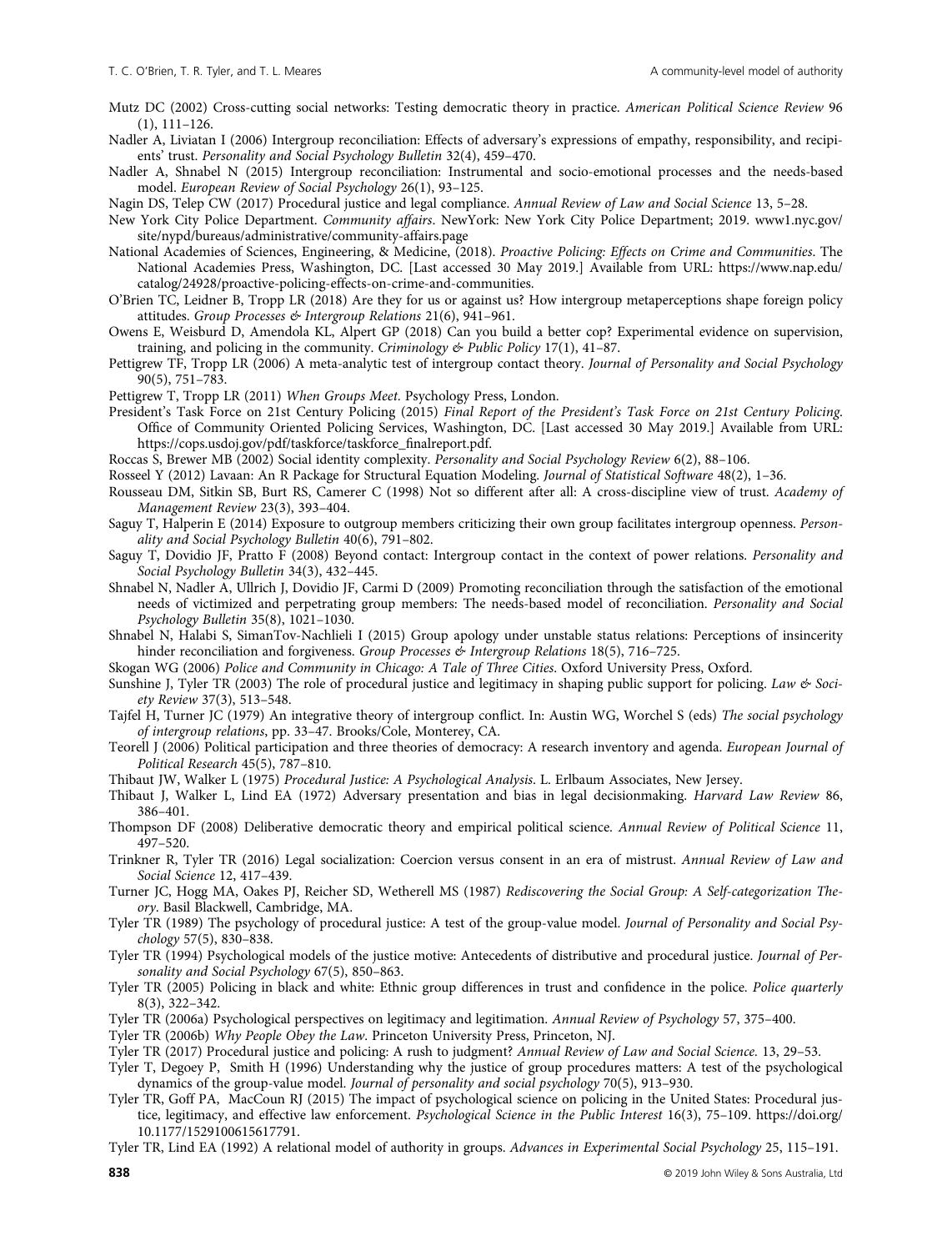Mutz DC (2002) Cross-cutting social networks: Testing democratic theory in practice. American Political Science Review 96 (1), 111–126.

Nadler A, Liviatan I (2006) Intergroup reconciliation: Effects of adversary's expressions of empathy, responsibility, and recipients' trust. Personality and Social Psychology Bulletin 32(4), 459–470.

Nadler A, Shnabel N (2015) Intergroup reconciliation: Instrumental and socio-emotional processes and the needs-based model. European Review of Social Psychology 26(1), 93–125.

Nagin DS, Telep CW (2017) Procedural justice and legal compliance. Annual Review of Law and Social Science 13, 5–28.

New York City Police Department. Community affairs. NewYork: New York City Police Department; 2019. [www1.nyc.gov/](http://www1.nyc.gov/site/nypd/bureaus/administrative/community-affairs.page) [site/nypd/bureaus/administrative/community-affairs.page](http://www1.nyc.gov/site/nypd/bureaus/administrative/community-affairs.page)

National Academies of Sciences, Engineering, & Medicine, (2018). Proactive Policing: Effects on Crime and Communities. The National Academies Press, Washington, DC. [Last accessed 30 May 2019.] Available from URL: [https://www.nap.edu/](https://www.nap.edu/catalog/24928/proactive-policing-effects-on-crime-and-communities) [catalog/24928/proactive-policing-effects-on-crime-and-communities](https://www.nap.edu/catalog/24928/proactive-policing-effects-on-crime-and-communities).

O'Brien TC, Leidner B, Tropp LR (2018) Are they for us or against us? How intergroup metaperceptions shape foreign policy attitudes. Group Processes & Intergroup Relations 21(6), 941–961.

Owens E, Weisburd D, Amendola KL, Alpert GP (2018) Can you build a better cop? Experimental evidence on supervision, training, and policing in the community. Criminology & Public Policy 17(1),  $41-87$ .

Pettigrew TF, Tropp LR (2006) A meta-analytic test of intergroup contact theory. Journal of Personality and Social Psychology 90(5), 751–783.

Pettigrew T, Tropp LR (2011) When Groups Meet. Psychology Press, London.

President's Task Force on 21st Century Policing (2015) Final Report of the President's Task Force on 21st Century Policing. Office of Community Oriented Policing Services, Washington, DC. [Last accessed 30 May 2019.] Available from URL: [https://cops.usdoj.gov/pdf/taskforce/taskforce\\_](https://cops.usdoj.gov/pdf/taskforce/taskforce_finalreport.pdf)finalreport.pdf.

Roccas S, Brewer MB (2002) Social identity complexity. Personality and Social Psychology Review 6(2), 88–106.

Rosseel Y (2012) Lavaan: An R Package for Structural Equation Modeling. Journal of Statistical Software 48(2), 1–36.

Rousseau DM, Sitkin SB, Burt RS, Camerer C (1998) Not so different after all: A cross-discipline view of trust. Academy of Management Review 23(3), 393–404.

Saguy T, Halperin E (2014) Exposure to outgroup members criticizing their own group facilitates intergroup openness. Personality and Social Psychology Bulletin 40(6), 791–802.

Saguy T, Dovidio JF, Pratto F (2008) Beyond contact: Intergroup contact in the context of power relations. Personality and Social Psychology Bulletin 34(3), 432–445.

Shnabel N, Nadler A, Ullrich J, Dovidio JF, Carmi D (2009) Promoting reconciliation through the satisfaction of the emotional needs of victimized and perpetrating group members: The needs-based model of reconciliation. Personality and Social Psychology Bulletin 35(8), 1021–1030.

Shnabel N, Halabi S, SimanTov-Nachlieli I (2015) Group apology under unstable status relations: Perceptions of insincerity hinder reconciliation and forgiveness. Group Processes & Intergroup Relations 18(5), 716-725.

Skogan WG (2006) Police and Community in Chicago: A Tale of Three Cities. Oxford University Press, Oxford.

Sunshine J, Tyler TR (2003) The role of procedural justice and legitimacy in shaping public support for policing. Law  $\&$  Society Review 37(3), 513–548.

Tajfel H, Turner JC (1979) An integrative theory of intergroup conflict. In: Austin WG, Worchel S (eds) The social psychology of intergroup relations, pp. 33–47. Brooks/Cole, Monterey, CA.

Teorell J (2006) Political participation and three theories of democracy: A research inventory and agenda. European Journal of Political Research 45(5), 787–810.

Thibaut JW, Walker L (1975) Procedural Justice: A Psychological Analysis. L. Erlbaum Associates, New Jersey.

Thibaut J, Walker L, Lind EA (1972) Adversary presentation and bias in legal decisionmaking. Harvard Law Review 86, 386–401.

Thompson DF (2008) Deliberative democratic theory and empirical political science. Annual Review of Political Science 11, 497–520.

Trinkner R, Tyler TR (2016) Legal socialization: Coercion versus consent in an era of mistrust. Annual Review of Law and Social Science 12, 417–439.

Turner JC, Hogg MA, Oakes PJ, Reicher SD, Wetherell MS (1987) Rediscovering the Social Group: A Self-categorization Theory. Basil Blackwell, Cambridge, MA.

Tyler TR (1989) The psychology of procedural justice: A test of the group-value model. Journal of Personality and Social Psychology 57(5), 830–838.

Tyler TR (1994) Psychological models of the justice motive: Antecedents of distributive and procedural justice. Journal of Personality and Social Psychology 67(5), 850–863.

Tyler TR (2005) Policing in black and white: Ethnic group differences in trust and confidence in the police. Police quarterly 8(3), 322–342.

Tyler TR (2006a) Psychological perspectives on legitimacy and legitimation. Annual Review of Psychology 57, 375–400.

Tyler TR (2006b) Why People Obey the Law. Princeton University Press, Princeton, NJ.

Tyler TR (2017) Procedural justice and policing: A rush to judgment? Annual Review of Law and Social Science. 13, 29–53.

Tyler T, Degoey P, Smith H (1996) Understanding why the justice of group procedures matters: A test of the psychological dynamics of the group-value model. Journal of personality and social psychology 70(5), 913–930.

Tyler TR, Goff PA, MacCoun RJ (2015) The impact of psychological science on policing in the United States: Procedural justice, legitimacy, and effective law enforcement. Psychological Science in the Public Interest 16(3), 75–109. [https://doi.org/](https://doi.org/10.1177/1529100615617791) [10.1177/1529100615617791.](https://doi.org/10.1177/1529100615617791)

Tyler TR, Lind EA (1992) A relational model of authority in groups. Advances in Experimental Social Psychology 25, 115–191.